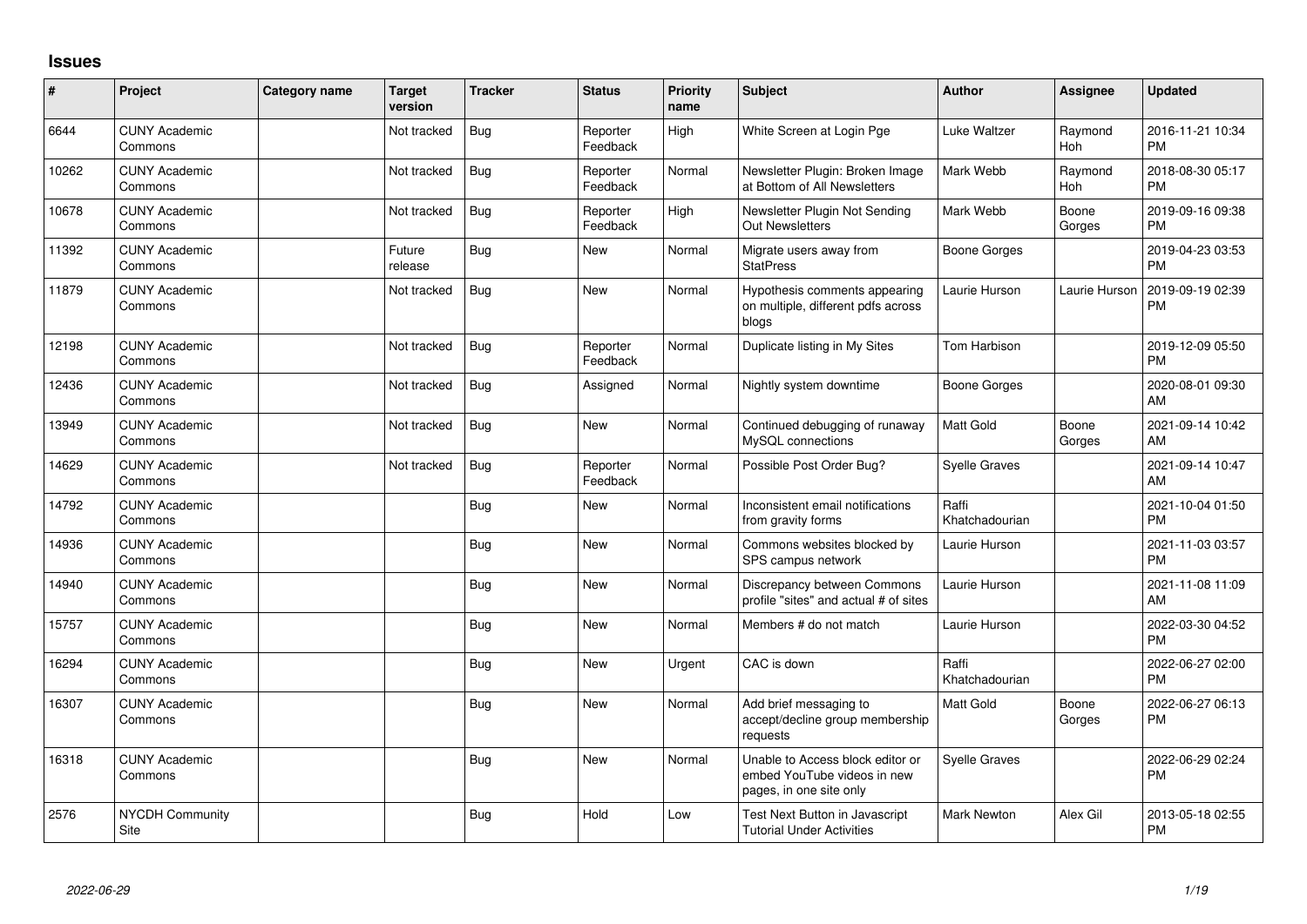## **Issues**

| #     | Project                         | Category name | <b>Target</b><br>version | <b>Tracker</b> | <b>Status</b>        | Priority<br>name | <b>Subject</b>                                                                             | Author                  | Assignee        | <b>Updated</b>                |
|-------|---------------------------------|---------------|--------------------------|----------------|----------------------|------------------|--------------------------------------------------------------------------------------------|-------------------------|-----------------|-------------------------------|
| 6644  | <b>CUNY Academic</b><br>Commons |               | Not tracked              | Bug            | Reporter<br>Feedback | High             | White Screen at Login Pge                                                                  | Luke Waltzer            | Raymond<br>Hoh  | 2016-11-21 10:34<br><b>PM</b> |
| 10262 | <b>CUNY Academic</b><br>Commons |               | Not tracked              | Bug            | Reporter<br>Feedback | Normal           | Newsletter Plugin: Broken Image<br>at Bottom of All Newsletters                            | Mark Webb               | Raymond<br>Hoh  | 2018-08-30 05:17<br><b>PM</b> |
| 10678 | <b>CUNY Academic</b><br>Commons |               | Not tracked              | Bug            | Reporter<br>Feedback | Hiah             | Newsletter Plugin Not Sending<br><b>Out Newsletters</b>                                    | Mark Webb               | Boone<br>Gorges | 2019-09-16 09:38<br><b>PM</b> |
| 11392 | <b>CUNY Academic</b><br>Commons |               | Future<br>release        | Bug            | <b>New</b>           | Normal           | Migrate users away from<br><b>StatPress</b>                                                | <b>Boone Gorges</b>     |                 | 2019-04-23 03:53<br><b>PM</b> |
| 11879 | <b>CUNY Academic</b><br>Commons |               | Not tracked              | Bug            | <b>New</b>           | Normal           | Hypothesis comments appearing<br>on multiple, different pdfs across<br>blogs               | Laurie Hurson           | Laurie Hurson   | 2019-09-19 02:39<br><b>PM</b> |
| 12198 | <b>CUNY Academic</b><br>Commons |               | Not tracked              | Bug            | Reporter<br>Feedback | Normal           | Duplicate listing in My Sites                                                              | <b>Tom Harbison</b>     |                 | 2019-12-09 05:50<br><b>PM</b> |
| 12436 | <b>CUNY Academic</b><br>Commons |               | Not tracked              | Bug            | Assigned             | Normal           | Nightly system downtime                                                                    | Boone Gorges            |                 | 2020-08-01 09:30<br>AM        |
| 13949 | <b>CUNY Academic</b><br>Commons |               | Not tracked              | Bug            | <b>New</b>           | Normal           | Continued debugging of runaway<br>MySQL connections                                        | <b>Matt Gold</b>        | Boone<br>Gorges | 2021-09-14 10:42<br>AM        |
| 14629 | <b>CUNY Academic</b><br>Commons |               | Not tracked              | Bug            | Reporter<br>Feedback | Normal           | Possible Post Order Bug?                                                                   | Syelle Graves           |                 | 2021-09-14 10:47<br>AM        |
| 14792 | <b>CUNY Academic</b><br>Commons |               |                          | Bug            | <b>New</b>           | Normal           | Inconsistent email notifications<br>from gravity forms                                     | Raffi<br>Khatchadourian |                 | 2021-10-04 01:50<br><b>PM</b> |
| 14936 | <b>CUNY Academic</b><br>Commons |               |                          | Bug            | <b>New</b>           | Normal           | Commons websites blocked by<br>SPS campus network                                          | Laurie Hurson           |                 | 2021-11-03 03:57<br><b>PM</b> |
| 14940 | <b>CUNY Academic</b><br>Commons |               |                          | Bug            | <b>New</b>           | Normal           | Discrepancy between Commons<br>profile "sites" and actual # of sites                       | Laurie Hurson           |                 | 2021-11-08 11:09<br>AM        |
| 15757 | <b>CUNY Academic</b><br>Commons |               |                          | Bug            | <b>New</b>           | Normal           | Members # do not match                                                                     | Laurie Hurson           |                 | 2022-03-30 04:52<br><b>PM</b> |
| 16294 | <b>CUNY Academic</b><br>Commons |               |                          | <b>Bug</b>     | <b>New</b>           | Urgent           | CAC is down                                                                                | Raffi<br>Khatchadourian |                 | 2022-06-27 02:00<br><b>PM</b> |
| 16307 | <b>CUNY Academic</b><br>Commons |               |                          | Bug            | <b>New</b>           | Normal           | Add brief messaging to<br>accept/decline group membership<br>requests                      | Matt Gold               | Boone<br>Gorges | 2022-06-27 06:13<br>PM        |
| 16318 | <b>CUNY Academic</b><br>Commons |               |                          | Bug            | <b>New</b>           | Normal           | Unable to Access block editor or<br>embed YouTube videos in new<br>pages, in one site only | Syelle Graves           |                 | 2022-06-29 02:24<br><b>PM</b> |
| 2576  | <b>NYCDH Community</b><br>Site  |               |                          | Bug            | Hold                 | Low              | Test Next Button in Javascript<br><b>Tutorial Under Activities</b>                         | <b>Mark Newton</b>      | Alex Gil        | 2013-05-18 02:55<br><b>PM</b> |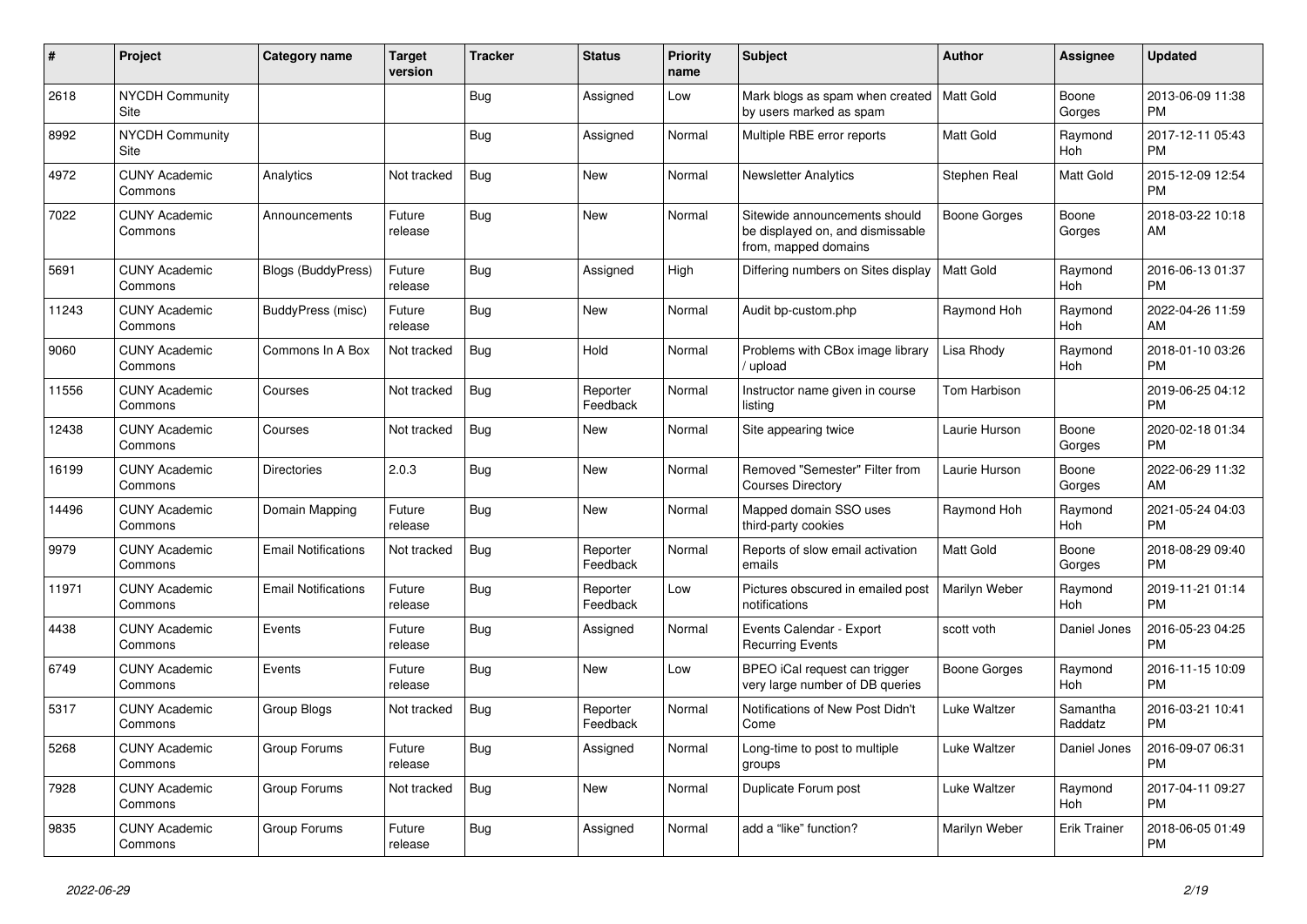| #     | Project                         | <b>Category name</b>       | <b>Target</b><br>version | <b>Tracker</b> | <b>Status</b>        | <b>Priority</b><br>name | <b>Subject</b>                                                                            | <b>Author</b>    | <b>Assignee</b>     | <b>Updated</b>                |
|-------|---------------------------------|----------------------------|--------------------------|----------------|----------------------|-------------------------|-------------------------------------------------------------------------------------------|------------------|---------------------|-------------------------------|
| 2618  | <b>NYCDH Community</b><br>Site  |                            |                          | Bug            | Assigned             | Low                     | Mark blogs as spam when created   Matt Gold<br>by users marked as spam                    |                  | Boone<br>Gorges     | 2013-06-09 11:38<br><b>PM</b> |
| 8992  | <b>NYCDH Community</b><br>Site  |                            |                          | Bug            | Assigned             | Normal                  | Multiple RBE error reports                                                                | <b>Matt Gold</b> | Raymond<br>Hoh      | 2017-12-11 05:43<br><b>PM</b> |
| 4972  | <b>CUNY Academic</b><br>Commons | Analytics                  | Not tracked              | <b>Bug</b>     | <b>New</b>           | Normal                  | Newsletter Analytics                                                                      | Stephen Real     | Matt Gold           | 2015-12-09 12:54<br><b>PM</b> |
| 7022  | <b>CUNY Academic</b><br>Commons | Announcements              | Future<br>release        | Bug            | <b>New</b>           | Normal                  | Sitewide announcements should<br>be displayed on, and dismissable<br>from, mapped domains | Boone Gorges     | Boone<br>Gorges     | 2018-03-22 10:18<br>AM        |
| 5691  | <b>CUNY Academic</b><br>Commons | <b>Blogs (BuddyPress)</b>  | Future<br>release        | Bug            | Assigned             | High                    | Differing numbers on Sites display                                                        | <b>Matt Gold</b> | Raymond<br>Hoh      | 2016-06-13 01:37<br><b>PM</b> |
| 11243 | <b>CUNY Academic</b><br>Commons | BuddyPress (misc)          | Future<br>release        | Bug            | <b>New</b>           | Normal                  | Audit bp-custom.php                                                                       | Raymond Hoh      | Raymond<br>Hoh      | 2022-04-26 11:59<br>AM        |
| 9060  | <b>CUNY Academic</b><br>Commons | Commons In A Box           | Not tracked              | Bug            | Hold                 | Normal                  | Problems with CBox image library<br>/ upload                                              | Lisa Rhody       | Raymond<br>Hoh      | 2018-01-10 03:26<br><b>PM</b> |
| 11556 | <b>CUNY Academic</b><br>Commons | Courses                    | Not tracked              | Bug            | Reporter<br>Feedback | Normal                  | Instructor name given in course<br>listing                                                | Tom Harbison     |                     | 2019-06-25 04:12<br><b>PM</b> |
| 12438 | <b>CUNY Academic</b><br>Commons | Courses                    | Not tracked              | <b>Bug</b>     | New                  | Normal                  | Site appearing twice                                                                      | Laurie Hurson    | Boone<br>Gorges     | 2020-02-18 01:34<br><b>PM</b> |
| 16199 | <b>CUNY Academic</b><br>Commons | Directories                | 2.0.3                    | <b>Bug</b>     | <b>New</b>           | Normal                  | Removed "Semester" Filter from<br><b>Courses Directory</b>                                | Laurie Hurson    | Boone<br>Gorges     | 2022-06-29 11:32<br>AM        |
| 14496 | <b>CUNY Academic</b><br>Commons | Domain Mapping             | Future<br>release        | Bug            | New                  | Normal                  | Mapped domain SSO uses<br>third-party cookies                                             | Raymond Hoh      | Raymond<br>Hoh      | 2021-05-24 04:03<br><b>PM</b> |
| 9979  | <b>CUNY Academic</b><br>Commons | <b>Email Notifications</b> | Not tracked              | <b>Bug</b>     | Reporter<br>Feedback | Normal                  | Reports of slow email activation<br>emails                                                | <b>Matt Gold</b> | Boone<br>Gorges     | 2018-08-29 09:40<br><b>PM</b> |
| 11971 | <b>CUNY Academic</b><br>Commons | <b>Email Notifications</b> | Future<br>release        | Bug            | Reporter<br>Feedback | Low                     | Pictures obscured in emailed post<br>notifications                                        | Marilyn Weber    | Raymond<br>Hoh      | 2019-11-21 01:14<br><b>PM</b> |
| 4438  | <b>CUNY Academic</b><br>Commons | Events                     | Future<br>release        | Bug            | Assigned             | Normal                  | Events Calendar - Export<br><b>Recurring Events</b>                                       | scott voth       | Daniel Jones        | 2016-05-23 04:25<br><b>PM</b> |
| 6749  | <b>CUNY Academic</b><br>Commons | Events                     | Future<br>release        | Bug            | New                  | Low                     | BPEO iCal request can trigger<br>very large number of DB queries                          | Boone Gorges     | Raymond<br>Hoh      | 2016-11-15 10:09<br><b>PM</b> |
| 5317  | <b>CUNY Academic</b><br>Commons | Group Blogs                | Not tracked              | Bug            | Reporter<br>Feedback | Normal                  | Notifications of New Post Didn't<br>Come                                                  | Luke Waltzer     | Samantha<br>Raddatz | 2016-03-21 10:41<br><b>PM</b> |
| 5268  | <b>CUNY Academic</b><br>Commons | Group Forums               | Future<br>release        | Bug            | Assigned             | Normal                  | Long-time to post to multiple<br>groups                                                   | Luke Waltzer     | Daniel Jones        | 2016-09-07 06:31<br><b>PM</b> |
| 7928  | <b>CUNY Academic</b><br>Commons | Group Forums               | Not tracked              | Bug            | New                  | Normal                  | Duplicate Forum post                                                                      | Luke Waltzer     | Raymond<br>Hoh      | 2017-04-11 09:27<br><b>PM</b> |
| 9835  | <b>CUNY Academic</b><br>Commons | Group Forums               | Future<br>release        | Bug            | Assigned             | Normal                  | add a "like" function?                                                                    | Marilyn Weber    | <b>Erik Trainer</b> | 2018-06-05 01:49<br><b>PM</b> |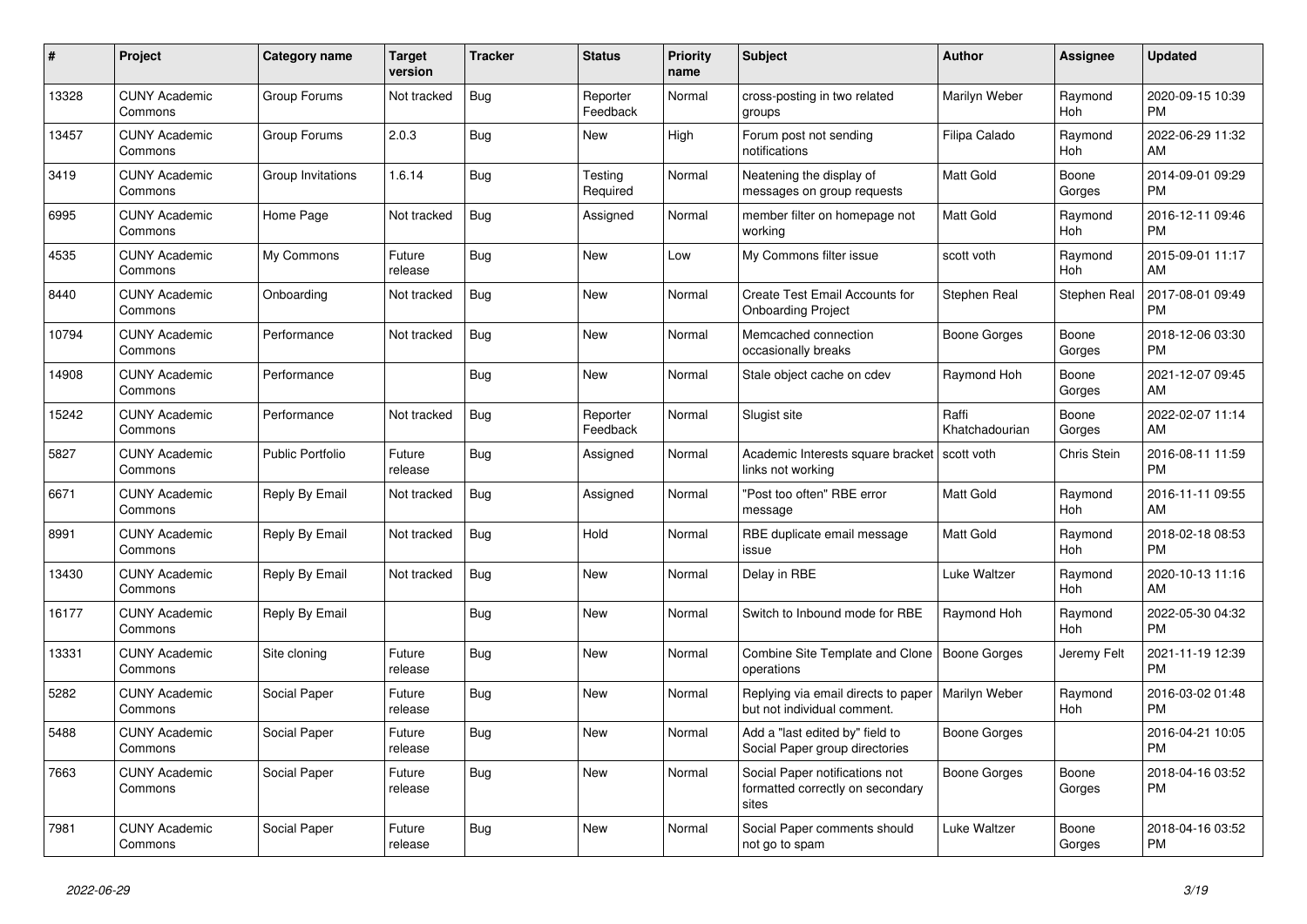| $\#$  | Project                         | <b>Category name</b>    | <b>Target</b><br>version | <b>Tracker</b> | <b>Status</b>        | <b>Priority</b><br>name | <b>Subject</b>                                                              | <b>Author</b>           | <b>Assignee</b> | <b>Updated</b>                |
|-------|---------------------------------|-------------------------|--------------------------|----------------|----------------------|-------------------------|-----------------------------------------------------------------------------|-------------------------|-----------------|-------------------------------|
| 13328 | <b>CUNY Academic</b><br>Commons | Group Forums            | Not tracked              | <b>Bug</b>     | Reporter<br>Feedback | Normal                  | cross-posting in two related<br>groups                                      | Marilyn Weber           | Raymond<br>Hoh  | 2020-09-15 10:39<br><b>PM</b> |
| 13457 | <b>CUNY Academic</b><br>Commons | Group Forums            | 2.0.3                    | Bug            | New                  | High                    | Forum post not sending<br>notifications                                     | Filipa Calado           | Raymond<br>Hoh  | 2022-06-29 11:32<br>AM        |
| 3419  | <b>CUNY Academic</b><br>Commons | Group Invitations       | 1.6.14                   | Bug            | Testing<br>Required  | Normal                  | Neatening the display of<br>messages on group requests                      | Matt Gold               | Boone<br>Gorges | 2014-09-01 09:29<br><b>PM</b> |
| 6995  | <b>CUNY Academic</b><br>Commons | Home Page               | Not tracked              | Bug            | Assigned             | Normal                  | member filter on homepage not<br>workina                                    | Matt Gold               | Raymond<br>Hoh  | 2016-12-11 09:46<br><b>PM</b> |
| 4535  | <b>CUNY Academic</b><br>Commons | My Commons              | Future<br>release        | Bug            | New                  | Low                     | My Commons filter issue                                                     | scott voth              | Raymond<br>Hoh  | 2015-09-01 11:17<br>AM        |
| 8440  | <b>CUNY Academic</b><br>Commons | Onboarding              | Not tracked              | Bug            | New                  | Normal                  | Create Test Email Accounts for<br><b>Onboarding Project</b>                 | Stephen Real            | Stephen Real    | 2017-08-01 09:49<br><b>PM</b> |
| 10794 | <b>CUNY Academic</b><br>Commons | Performance             | Not tracked              | Bug            | <b>New</b>           | Normal                  | Memcached connection<br>occasionally breaks                                 | Boone Gorges            | Boone<br>Gorges | 2018-12-06 03:30<br><b>PM</b> |
| 14908 | <b>CUNY Academic</b><br>Commons | Performance             |                          | <b>Bug</b>     | <b>New</b>           | Normal                  | Stale object cache on cdev                                                  | Raymond Hoh             | Boone<br>Gorges | 2021-12-07 09:45<br>AM        |
| 15242 | <b>CUNY Academic</b><br>Commons | Performance             | Not tracked              | Bug            | Reporter<br>Feedback | Normal                  | Slugist site                                                                | Raffi<br>Khatchadourian | Boone<br>Gorges | 2022-02-07 11:14<br>AM        |
| 5827  | <b>CUNY Academic</b><br>Commons | <b>Public Portfolio</b> | Future<br>release        | Bug            | Assigned             | Normal                  | Academic Interests square bracket<br>links not working                      | scott voth              | Chris Stein     | 2016-08-11 11:59<br><b>PM</b> |
| 6671  | <b>CUNY Academic</b><br>Commons | Reply By Email          | Not tracked              | Bug            | Assigned             | Normal                  | "Post too often" RBE error<br>message                                       | Matt Gold               | Raymond<br>Hoh  | 2016-11-11 09:55<br>AM        |
| 8991  | <b>CUNY Academic</b><br>Commons | Reply By Email          | Not tracked              | Bug            | Hold                 | Normal                  | RBE duplicate email message<br>issue                                        | Matt Gold               | Raymond<br>Hoh  | 2018-02-18 08:53<br><b>PM</b> |
| 13430 | <b>CUNY Academic</b><br>Commons | Reply By Email          | Not tracked              | <b>Bug</b>     | New                  | Normal                  | Delay in RBE                                                                | Luke Waltzer            | Raymond<br>Hoh  | 2020-10-13 11:16<br>AM        |
| 16177 | <b>CUNY Academic</b><br>Commons | Reply By Email          |                          | Bug            | <b>New</b>           | Normal                  | Switch to Inbound mode for RBE                                              | Raymond Hoh             | Raymond<br>Hoh  | 2022-05-30 04:32<br><b>PM</b> |
| 13331 | <b>CUNY Academic</b><br>Commons | Site cloning            | Future<br>release        | Bug            | <b>New</b>           | Normal                  | Combine Site Template and Clone<br>operations                               | Boone Gorges            | Jeremy Felt     | 2021-11-19 12:39<br><b>PM</b> |
| 5282  | <b>CUNY Academic</b><br>Commons | Social Paper            | Future<br>release        | Bug            | New                  | Normal                  | Replying via email directs to paper<br>but not individual comment.          | Marilyn Weber           | Raymond<br>Hoh  | 2016-03-02 01:48<br><b>PM</b> |
| 5488  | <b>CUNY Academic</b><br>Commons | Social Paper            | Future<br>release        | Bug            | New                  | Normal                  | Add a "last edited by" field to<br>Social Paper group directories           | Boone Gorges            |                 | 2016-04-21 10:05<br><b>PM</b> |
| 7663  | <b>CUNY Academic</b><br>Commons | Social Paper            | Future<br>release        | Bug            | <b>New</b>           | Normal                  | Social Paper notifications not<br>formatted correctly on secondary<br>sites | Boone Gorges            | Boone<br>Gorges | 2018-04-16 03:52<br><b>PM</b> |
| 7981  | <b>CUNY Academic</b><br>Commons | Social Paper            | Future<br>release        | <b>Bug</b>     | <b>New</b>           | Normal                  | Social Paper comments should<br>not go to spam                              | Luke Waltzer            | Boone<br>Gorges | 2018-04-16 03:52<br><b>PM</b> |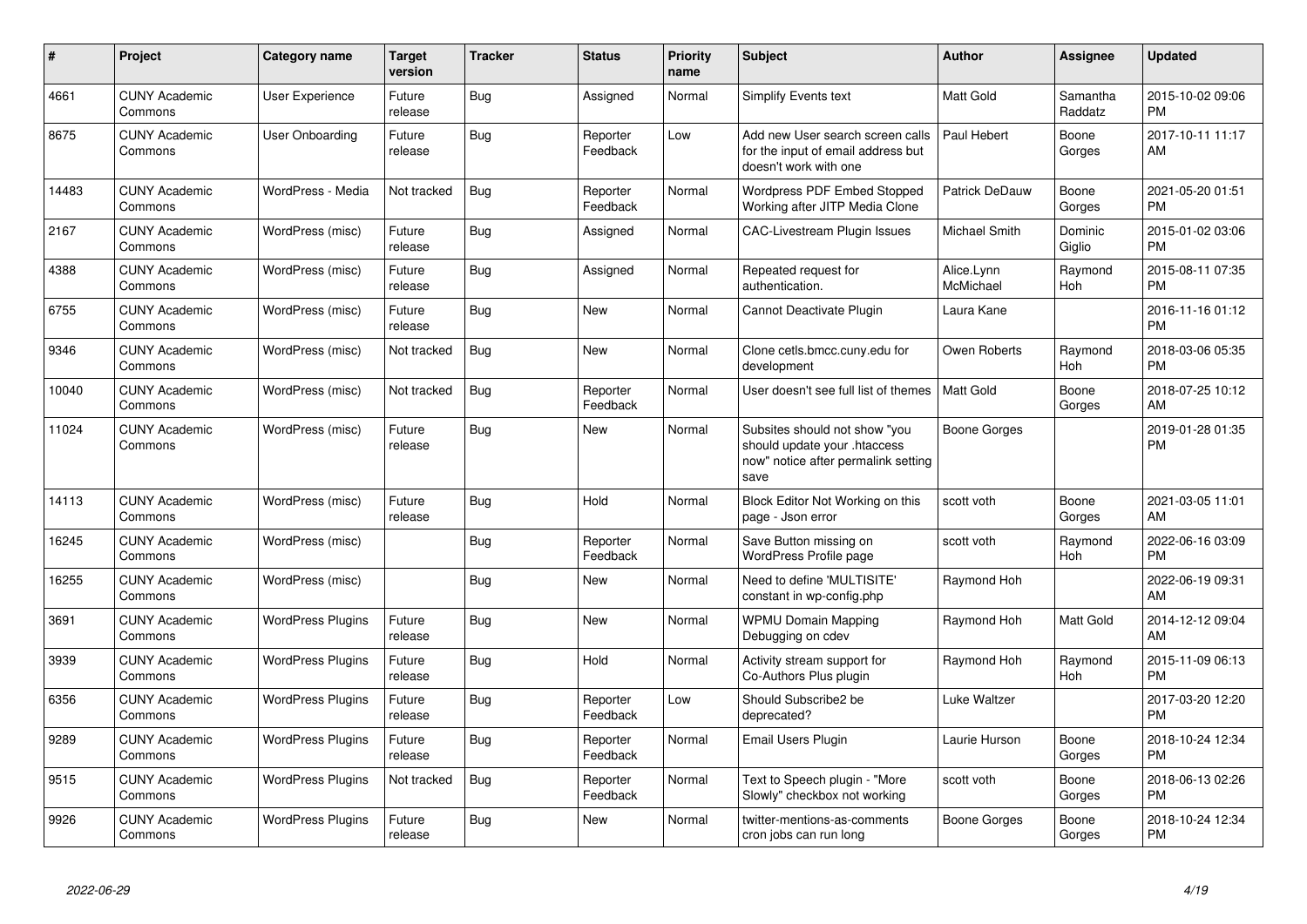| #     | <b>Project</b>                  | Category name            | <b>Target</b><br>version | <b>Tracker</b> | <b>Status</b>        | <b>Priority</b><br>name | <b>Subject</b>                                                                                               | <b>Author</b>           | Assignee            | <b>Updated</b>                |
|-------|---------------------------------|--------------------------|--------------------------|----------------|----------------------|-------------------------|--------------------------------------------------------------------------------------------------------------|-------------------------|---------------------|-------------------------------|
| 4661  | <b>CUNY Academic</b><br>Commons | <b>User Experience</b>   | Future<br>release        | Bug            | Assigned             | Normal                  | <b>Simplify Events text</b>                                                                                  | Matt Gold               | Samantha<br>Raddatz | 2015-10-02 09:06<br><b>PM</b> |
| 8675  | <b>CUNY Academic</b><br>Commons | User Onboarding          | Future<br>release        | Bug            | Reporter<br>Feedback | Low                     | Add new User search screen calls<br>for the input of email address but<br>doesn't work with one              | Paul Hebert             | Boone<br>Gorges     | 2017-10-11 11:17<br>AM        |
| 14483 | <b>CUNY Academic</b><br>Commons | WordPress - Media        | Not tracked              | Bug            | Reporter<br>Feedback | Normal                  | Wordpress PDF Embed Stopped<br>Working after JITP Media Clone                                                | Patrick DeDauw          | Boone<br>Gorges     | 2021-05-20 01:51<br><b>PM</b> |
| 2167  | <b>CUNY Academic</b><br>Commons | WordPress (misc)         | Future<br>release        | Bug            | Assigned             | Normal                  | <b>CAC-Livestream Plugin Issues</b>                                                                          | Michael Smith           | Dominic<br>Giglio   | 2015-01-02 03:06<br><b>PM</b> |
| 4388  | <b>CUNY Academic</b><br>Commons | WordPress (misc)         | Future<br>release        | Bug            | Assigned             | Normal                  | Repeated request for<br>authentication.                                                                      | Alice.Lynn<br>McMichael | Raymond<br>Hoh      | 2015-08-11 07:35<br><b>PM</b> |
| 6755  | <b>CUNY Academic</b><br>Commons | WordPress (misc)         | Future<br>release        | <b>Bug</b>     | <b>New</b>           | Normal                  | Cannot Deactivate Plugin                                                                                     | Laura Kane              |                     | 2016-11-16 01:12<br><b>PM</b> |
| 9346  | <b>CUNY Academic</b><br>Commons | WordPress (misc)         | Not tracked              | <b>Bug</b>     | <b>New</b>           | Normal                  | Clone cetls.bmcc.cuny.edu for<br>development                                                                 | Owen Roberts            | Raymond<br>Hoh      | 2018-03-06 05:35<br><b>PM</b> |
| 10040 | <b>CUNY Academic</b><br>Commons | WordPress (misc)         | Not tracked              | Bug            | Reporter<br>Feedback | Normal                  | User doesn't see full list of themes                                                                         | <b>Matt Gold</b>        | Boone<br>Gorges     | 2018-07-25 10:12<br>AM        |
| 11024 | <b>CUNY Academic</b><br>Commons | WordPress (misc)         | Future<br>release        | Bug            | <b>New</b>           | Normal                  | Subsites should not show "you<br>should update your .htaccess<br>now" notice after permalink setting<br>save | Boone Gorges            |                     | 2019-01-28 01:35<br><b>PM</b> |
| 14113 | <b>CUNY Academic</b><br>Commons | WordPress (misc)         | Future<br>release        | <b>Bug</b>     | Hold                 | Normal                  | Block Editor Not Working on this<br>page - Json error                                                        | scott voth              | Boone<br>Gorges     | 2021-03-05 11:01<br>AM        |
| 16245 | <b>CUNY Academic</b><br>Commons | WordPress (misc)         |                          | <b>Bug</b>     | Reporter<br>Feedback | Normal                  | Save Button missing on<br>WordPress Profile page                                                             | scott voth              | Raymond<br>Hoh      | 2022-06-16 03:09<br><b>PM</b> |
| 16255 | <b>CUNY Academic</b><br>Commons | WordPress (misc)         |                          | Bug            | <b>New</b>           | Normal                  | Need to define 'MULTISITE'<br>constant in wp-config.php                                                      | Raymond Hoh             |                     | 2022-06-19 09:31<br>AM        |
| 3691  | <b>CUNY Academic</b><br>Commons | <b>WordPress Plugins</b> | Future<br>release        | Bug            | <b>New</b>           | Normal                  | <b>WPMU Domain Mapping</b><br>Debugging on cdev                                                              | Raymond Hoh             | Matt Gold           | 2014-12-12 09:04<br>AM        |
| 3939  | <b>CUNY Academic</b><br>Commons | <b>WordPress Plugins</b> | Future<br>release        | Bug            | Hold                 | Normal                  | Activity stream support for<br>Co-Authors Plus plugin                                                        | Raymond Hoh             | Raymond<br>Hoh      | 2015-11-09 06:13<br><b>PM</b> |
| 6356  | <b>CUNY Academic</b><br>Commons | <b>WordPress Plugins</b> | Future<br>release        | Bug            | Reporter<br>Feedback | Low                     | Should Subscribe2 be<br>deprecated?                                                                          | Luke Waltzer            |                     | 2017-03-20 12:20<br><b>PM</b> |
| 9289  | <b>CUNY Academic</b><br>Commons | <b>WordPress Plugins</b> | Future<br>release        | Bug            | Reporter<br>Feedback | Normal                  | Email Users Plugin                                                                                           | Laurie Hurson           | Boone<br>Gorges     | 2018-10-24 12:34<br><b>PM</b> |
| 9515  | <b>CUNY Academic</b><br>Commons | <b>WordPress Plugins</b> | Not tracked              | Bug            | Reporter<br>Feedback | Normal                  | Text to Speech plugin - "More<br>Slowly" checkbox not working                                                | scott voth              | Boone<br>Gorges     | 2018-06-13 02:26<br><b>PM</b> |
| 9926  | <b>CUNY Academic</b><br>Commons | <b>WordPress Plugins</b> | Future<br>release        | Bug            | <b>New</b>           | Normal                  | twitter-mentions-as-comments<br>cron jobs can run long                                                       | Boone Gorges            | Boone<br>Gorges     | 2018-10-24 12:34<br><b>PM</b> |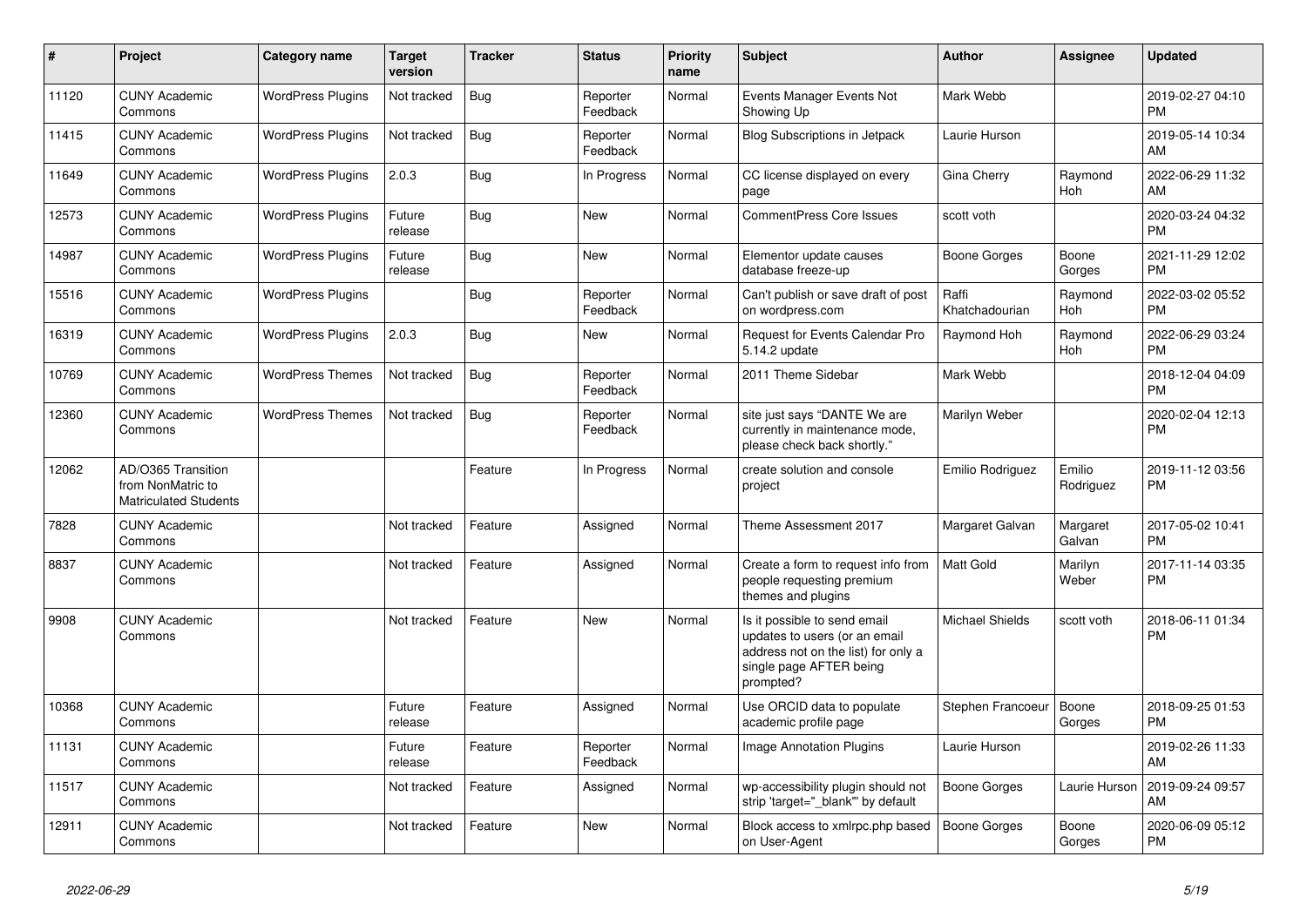| #     | Project                                                                 | <b>Category name</b>     | <b>Target</b><br>version | <b>Tracker</b> | <b>Status</b>        | <b>Priority</b><br>name | <b>Subject</b>                                                                                                                               | <b>Author</b>           | <b>Assignee</b>       | <b>Updated</b>                |
|-------|-------------------------------------------------------------------------|--------------------------|--------------------------|----------------|----------------------|-------------------------|----------------------------------------------------------------------------------------------------------------------------------------------|-------------------------|-----------------------|-------------------------------|
| 11120 | <b>CUNY Academic</b><br>Commons                                         | <b>WordPress Plugins</b> | Not tracked              | Bug            | Reporter<br>Feedback | Normal                  | Events Manager Events Not<br>Showing Up                                                                                                      | Mark Webb               |                       | 2019-02-27 04:10<br><b>PM</b> |
| 11415 | <b>CUNY Academic</b><br>Commons                                         | <b>WordPress Plugins</b> | Not tracked              | Bug            | Reporter<br>Feedback | Normal                  | Blog Subscriptions in Jetpack                                                                                                                | Laurie Hurson           |                       | 2019-05-14 10:34<br>AM        |
| 11649 | <b>CUNY Academic</b><br>Commons                                         | <b>WordPress Plugins</b> | 2.0.3                    | Bug            | In Progress          | Normal                  | CC license displayed on every<br>page                                                                                                        | Gina Cherry             | Raymond<br><b>Hoh</b> | 2022-06-29 11:32<br>AM        |
| 12573 | <b>CUNY Academic</b><br>Commons                                         | <b>WordPress Plugins</b> | Future<br>release        | Bug            | <b>New</b>           | Normal                  | <b>CommentPress Core Issues</b>                                                                                                              | scott voth              |                       | 2020-03-24 04:32<br><b>PM</b> |
| 14987 | <b>CUNY Academic</b><br>Commons                                         | <b>WordPress Plugins</b> | Future<br>release        | Bug            | New                  | Normal                  | Elementor update causes<br>database freeze-up                                                                                                | <b>Boone Gorges</b>     | Boone<br>Gorges       | 2021-11-29 12:02<br><b>PM</b> |
| 15516 | <b>CUNY Academic</b><br>Commons                                         | <b>WordPress Plugins</b> |                          | Bug            | Reporter<br>Feedback | Normal                  | Can't publish or save draft of post<br>on wordpress.com                                                                                      | Raffi<br>Khatchadourian | Raymond<br>Hoh        | 2022-03-02 05:52<br><b>PM</b> |
| 16319 | <b>CUNY Academic</b><br>Commons                                         | <b>WordPress Plugins</b> | 2.0.3                    | <b>Bug</b>     | <b>New</b>           | Normal                  | Request for Events Calendar Pro<br>5.14.2 update                                                                                             | Raymond Hoh             | Raymond<br>Hoh        | 2022-06-29 03:24<br><b>PM</b> |
| 10769 | <b>CUNY Academic</b><br>Commons                                         | <b>WordPress Themes</b>  | Not tracked              | Bug            | Reporter<br>Feedback | Normal                  | 2011 Theme Sidebar                                                                                                                           | Mark Webb               |                       | 2018-12-04 04:09<br><b>PM</b> |
| 12360 | <b>CUNY Academic</b><br>Commons                                         | <b>WordPress Themes</b>  | Not tracked              | Bug            | Reporter<br>Feedback | Normal                  | site just says "DANTE We are<br>currently in maintenance mode,<br>please check back shortly."                                                | Marilyn Weber           |                       | 2020-02-04 12:13<br><b>PM</b> |
| 12062 | AD/O365 Transition<br>from NonMatric to<br><b>Matriculated Students</b> |                          |                          | Feature        | In Progress          | Normal                  | create solution and console<br>project                                                                                                       | Emilio Rodriguez        | Emilio<br>Rodriguez   | 2019-11-12 03:56<br><b>PM</b> |
| 7828  | <b>CUNY Academic</b><br>Commons                                         |                          | Not tracked              | Feature        | Assigned             | Normal                  | Theme Assessment 2017                                                                                                                        | Margaret Galvan         | Margaret<br>Galvan    | 2017-05-02 10:41<br><b>PM</b> |
| 8837  | <b>CUNY Academic</b><br>Commons                                         |                          | Not tracked              | Feature        | Assigned             | Normal                  | Create a form to request info from<br>people requesting premium<br>themes and plugins                                                        | <b>Matt Gold</b>        | Marilyn<br>Weber      | 2017-11-14 03:35<br><b>PM</b> |
| 9908  | <b>CUNY Academic</b><br>Commons                                         |                          | Not tracked              | Feature        | <b>New</b>           | Normal                  | Is it possible to send email<br>updates to users (or an email<br>address not on the list) for only a<br>single page AFTER being<br>prompted? | Michael Shields         | scott voth            | 2018-06-11 01:34<br><b>PM</b> |
| 10368 | <b>CUNY Academic</b><br>Commons                                         |                          | Future<br>release        | Feature        | Assigned             | Normal                  | Use ORCID data to populate<br>academic profile page                                                                                          | Stephen Francoeur       | Boone<br>Gorges       | 2018-09-25 01:53<br><b>PM</b> |
| 11131 | <b>CUNY Academic</b><br>Commons                                         |                          | Future<br>release        | Feature        | Reporter<br>Feedback | Normal                  | Image Annotation Plugins                                                                                                                     | Laurie Hurson           |                       | 2019-02-26 11:33<br>AM        |
| 11517 | <b>CUNY Academic</b><br>Commons                                         |                          | Not tracked              | Feature        | Assigned             | Normal                  | wp-accessibility plugin should not<br>strip 'target=" blank" by default                                                                      | Boone Gorges            | Laurie Hurson         | 2019-09-24 09:57<br>AM        |
| 12911 | <b>CUNY Academic</b><br>Commons                                         |                          | Not tracked              | Feature        | New                  | Normal                  | Block access to xmlrpc.php based<br>on User-Agent                                                                                            | Boone Gorges            | Boone<br>Gorges       | 2020-06-09 05:12<br><b>PM</b> |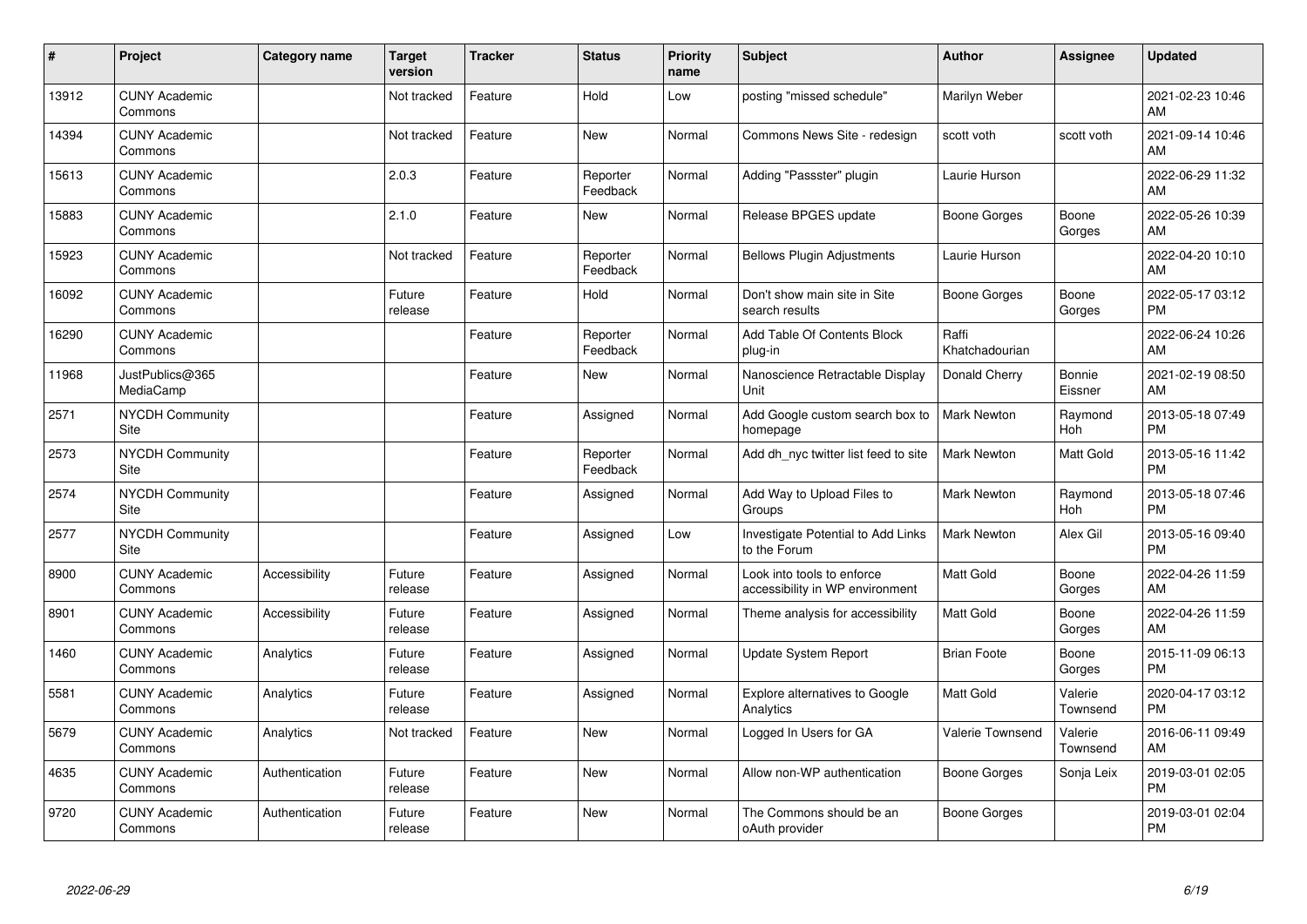| #     | Project                         | <b>Category name</b> | <b>Target</b><br>version | <b>Tracker</b> | <b>Status</b>        | <b>Priority</b><br>name | <b>Subject</b>                                                | <b>Author</b>           | <b>Assignee</b>     | <b>Updated</b>                |
|-------|---------------------------------|----------------------|--------------------------|----------------|----------------------|-------------------------|---------------------------------------------------------------|-------------------------|---------------------|-------------------------------|
| 13912 | <b>CUNY Academic</b><br>Commons |                      | Not tracked              | Feature        | Hold                 | Low                     | posting "missed schedule"                                     | Marilyn Weber           |                     | 2021-02-23 10:46<br>AM        |
| 14394 | <b>CUNY Academic</b><br>Commons |                      | Not tracked              | Feature        | <b>New</b>           | Normal                  | Commons News Site - redesign                                  | scott voth              | scott voth          | 2021-09-14 10:46<br>AM        |
| 15613 | <b>CUNY Academic</b><br>Commons |                      | 2.0.3                    | Feature        | Reporter<br>Feedback | Normal                  | Adding "Passster" plugin                                      | Laurie Hurson           |                     | 2022-06-29 11:32<br>AM        |
| 15883 | <b>CUNY Academic</b><br>Commons |                      | 2.1.0                    | Feature        | <b>New</b>           | Normal                  | Release BPGES update                                          | Boone Gorges            | Boone<br>Gorges     | 2022-05-26 10:39<br>AM        |
| 15923 | <b>CUNY Academic</b><br>Commons |                      | Not tracked              | Feature        | Reporter<br>Feedback | Normal                  | <b>Bellows Plugin Adjustments</b>                             | Laurie Hurson           |                     | 2022-04-20 10:10<br>AM        |
| 16092 | <b>CUNY Academic</b><br>Commons |                      | Future<br>release        | Feature        | Hold                 | Normal                  | Don't show main site in Site<br>search results                | <b>Boone Gorges</b>     | Boone<br>Gorges     | 2022-05-17 03:12<br><b>PM</b> |
| 16290 | <b>CUNY Academic</b><br>Commons |                      |                          | Feature        | Reporter<br>Feedback | Normal                  | Add Table Of Contents Block<br>plug-in                        | Raffi<br>Khatchadourian |                     | 2022-06-24 10:26<br>AM        |
| 11968 | JustPublics@365<br>MediaCamp    |                      |                          | Feature        | <b>New</b>           | Normal                  | Nanoscience Retractable Display<br>Unit                       | Donald Cherry           | Bonnie<br>Eissner   | 2021-02-19 08:50<br>AM        |
| 2571  | <b>NYCDH Community</b><br>Site  |                      |                          | Feature        | Assigned             | Normal                  | Add Google custom search box to<br>homepage                   | <b>Mark Newton</b>      | Raymond<br>Hoh      | 2013-05-18 07:49<br><b>PM</b> |
| 2573  | <b>NYCDH Community</b><br>Site  |                      |                          | Feature        | Reporter<br>Feedback | Normal                  | Add dh nyc twitter list feed to site                          | <b>Mark Newton</b>      | Matt Gold           | 2013-05-16 11:42<br><b>PM</b> |
| 2574  | <b>NYCDH Community</b><br>Site  |                      |                          | Feature        | Assigned             | Normal                  | Add Way to Upload Files to<br>Groups                          | <b>Mark Newton</b>      | Raymond<br>Hoh      | 2013-05-18 07:46<br><b>PM</b> |
| 2577  | <b>NYCDH Community</b><br>Site  |                      |                          | Feature        | Assigned             | Low                     | Investigate Potential to Add Links<br>to the Forum            | <b>Mark Newton</b>      | Alex Gil            | 2013-05-16 09:40<br><b>PM</b> |
| 8900  | <b>CUNY Academic</b><br>Commons | Accessibility        | Future<br>release        | Feature        | Assigned             | Normal                  | Look into tools to enforce<br>accessibility in WP environment | Matt Gold               | Boone<br>Gorges     | 2022-04-26 11:59<br>AM        |
| 8901  | <b>CUNY Academic</b><br>Commons | Accessibility        | Future<br>release        | Feature        | Assigned             | Normal                  | Theme analysis for accessibility                              | <b>Matt Gold</b>        | Boone<br>Gorges     | 2022-04-26 11:59<br>AM        |
| 1460  | <b>CUNY Academic</b><br>Commons | Analytics            | Future<br>release        | Feature        | Assigned             | Normal                  | <b>Update System Report</b>                                   | <b>Brian Foote</b>      | Boone<br>Gorges     | 2015-11-09 06:13<br><b>PM</b> |
| 5581  | <b>CUNY Academic</b><br>Commons | Analytics            | Future<br>release        | Feature        | Assigned             | Normal                  | Explore alternatives to Google<br>Analytics                   | Matt Gold               | Valerie<br>Townsend | 2020-04-17 03:12<br><b>PM</b> |
| 5679  | <b>CUNY Academic</b><br>Commons | Analytics            | Not tracked              | Feature        | New                  | Normal                  | Logged In Users for GA                                        | Valerie Townsend        | Valerie<br>Townsend | 2016-06-11 09:49<br>AM        |
| 4635  | <b>CUNY Academic</b><br>Commons | Authentication       | Future<br>release        | Feature        | <b>New</b>           | Normal                  | Allow non-WP authentication                                   | Boone Gorges            | Sonja Leix          | 2019-03-01 02:05<br><b>PM</b> |
| 9720  | <b>CUNY Academic</b><br>Commons | Authentication       | Future<br>release        | Feature        | <b>New</b>           | Normal                  | The Commons should be an<br>oAuth provider                    | Boone Gorges            |                     | 2019-03-01 02:04<br><b>PM</b> |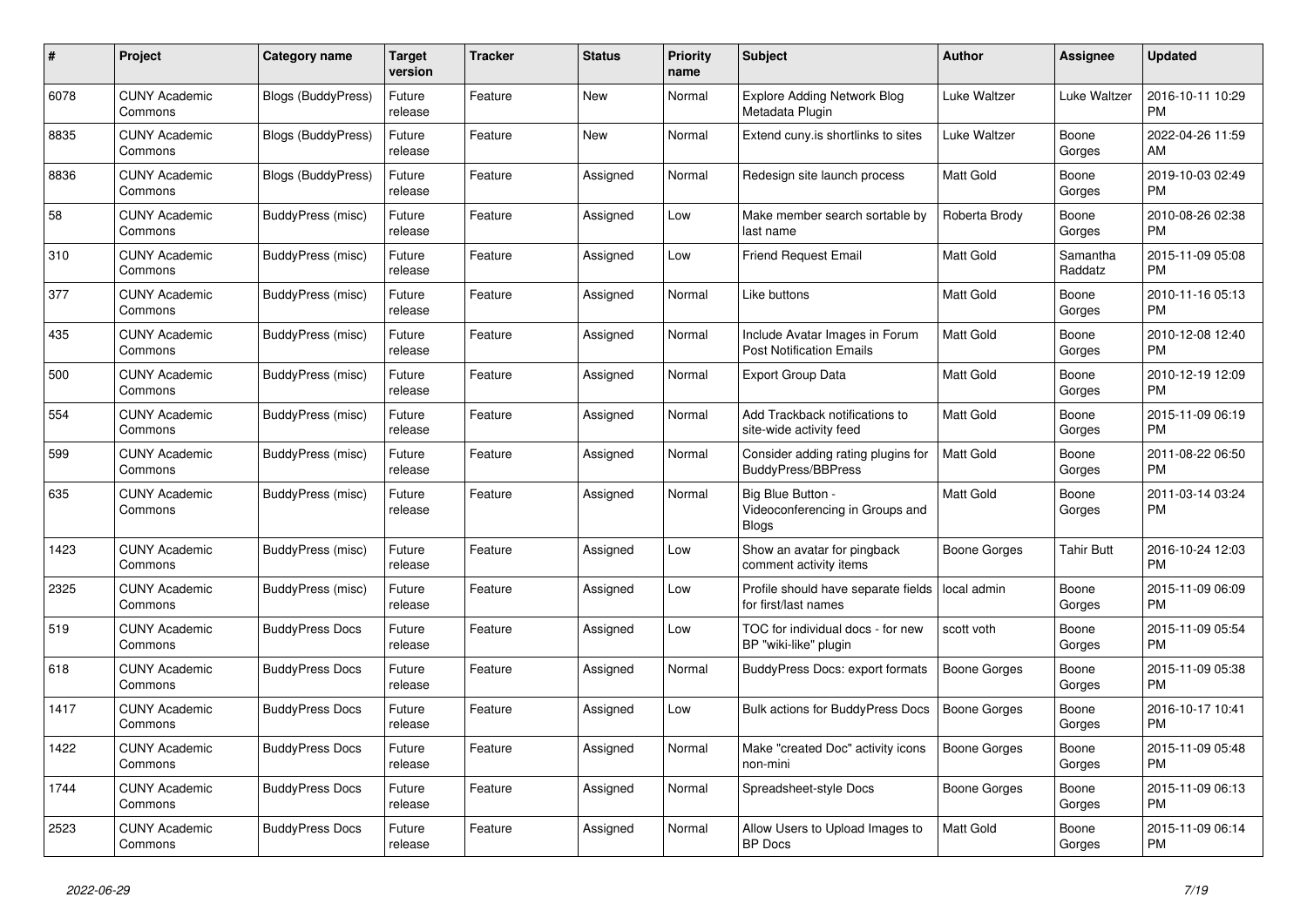| #    | Project                         | Category name             | <b>Target</b><br>version | Tracker | <b>Status</b> | <b>Priority</b><br>name | <b>Subject</b>                                                       | <b>Author</b>       | Assignee            | <b>Updated</b>                |
|------|---------------------------------|---------------------------|--------------------------|---------|---------------|-------------------------|----------------------------------------------------------------------|---------------------|---------------------|-------------------------------|
| 6078 | <b>CUNY Academic</b><br>Commons | <b>Blogs (BuddyPress)</b> | Future<br>release        | Feature | New           | Normal                  | Explore Adding Network Blog<br>Metadata Plugin                       | Luke Waltzer        | Luke Waltzer        | 2016-10-11 10:29<br><b>PM</b> |
| 8835 | <b>CUNY Academic</b><br>Commons | <b>Blogs (BuddyPress)</b> | Future<br>release        | Feature | New           | Normal                  | Extend cuny is shortlinks to sites                                   | Luke Waltzer        | Boone<br>Gorges     | 2022-04-26 11:59<br>AM        |
| 8836 | <b>CUNY Academic</b><br>Commons | <b>Blogs (BuddyPress)</b> | Future<br>release        | Feature | Assigned      | Normal                  | Redesign site launch process                                         | Matt Gold           | Boone<br>Gorges     | 2019-10-03 02:49<br><b>PM</b> |
| 58   | <b>CUNY Academic</b><br>Commons | BuddyPress (misc)         | Future<br>release        | Feature | Assigned      | Low                     | Make member search sortable by<br>last name                          | Roberta Brody       | Boone<br>Gorges     | 2010-08-26 02:38<br><b>PM</b> |
| 310  | <b>CUNY Academic</b><br>Commons | BuddyPress (misc)         | Future<br>release        | Feature | Assigned      | Low                     | <b>Friend Request Email</b>                                          | <b>Matt Gold</b>    | Samantha<br>Raddatz | 2015-11-09 05:08<br><b>PM</b> |
| 377  | <b>CUNY Academic</b><br>Commons | BuddyPress (misc)         | Future<br>release        | Feature | Assigned      | Normal                  | Like buttons                                                         | Matt Gold           | Boone<br>Gorges     | 2010-11-16 05:13<br><b>PM</b> |
| 435  | <b>CUNY Academic</b><br>Commons | BuddyPress (misc)         | Future<br>release        | Feature | Assigned      | Normal                  | Include Avatar Images in Forum<br><b>Post Notification Emails</b>    | <b>Matt Gold</b>    | Boone<br>Gorges     | 2010-12-08 12:40<br><b>PM</b> |
| 500  | <b>CUNY Academic</b><br>Commons | BuddyPress (misc)         | Future<br>release        | Feature | Assigned      | Normal                  | <b>Export Group Data</b>                                             | <b>Matt Gold</b>    | Boone<br>Gorges     | 2010-12-19 12:09<br><b>PM</b> |
| 554  | <b>CUNY Academic</b><br>Commons | BuddyPress (misc)         | Future<br>release        | Feature | Assigned      | Normal                  | Add Trackback notifications to<br>site-wide activity feed            | Matt Gold           | Boone<br>Gorges     | 2015-11-09 06:19<br><b>PM</b> |
| 599  | <b>CUNY Academic</b><br>Commons | BuddyPress (misc)         | Future<br>release        | Feature | Assigned      | Normal                  | Consider adding rating plugins for<br><b>BuddyPress/BBPress</b>      | <b>Matt Gold</b>    | Boone<br>Gorges     | 2011-08-22 06:50<br><b>PM</b> |
| 635  | <b>CUNY Academic</b><br>Commons | BuddyPress (misc)         | Future<br>release        | Feature | Assigned      | Normal                  | Big Blue Button -<br>Videoconferencing in Groups and<br><b>Blogs</b> | Matt Gold           | Boone<br>Gorges     | 2011-03-14 03:24<br><b>PM</b> |
| 1423 | <b>CUNY Academic</b><br>Commons | BuddyPress (misc)         | Future<br>release        | Feature | Assigned      | Low                     | Show an avatar for pingback<br>comment activity items                | Boone Gorges        | Tahir Butt          | 2016-10-24 12:03<br><b>PM</b> |
| 2325 | <b>CUNY Academic</b><br>Commons | BuddyPress (misc)         | Future<br>release        | Feature | Assigned      | Low                     | Profile should have separate fields<br>for first/last names          | local admin         | Boone<br>Gorges     | 2015-11-09 06:09<br><b>PM</b> |
| 519  | <b>CUNY Academic</b><br>Commons | <b>BuddyPress Docs</b>    | Future<br>release        | Feature | Assigned      | Low                     | TOC for individual docs - for new<br>BP "wiki-like" plugin           | scott voth          | Boone<br>Gorges     | 2015-11-09 05:54<br><b>PM</b> |
| 618  | <b>CUNY Academic</b><br>Commons | <b>BuddyPress Docs</b>    | Future<br>release        | Feature | Assigned      | Normal                  | BuddyPress Docs: export formats                                      | <b>Boone Gorges</b> | Boone<br>Gorges     | 2015-11-09 05:38<br><b>PM</b> |
| 1417 | <b>CUNY Academic</b><br>Commons | <b>BuddyPress Docs</b>    | Future<br>release        | Feature | Assigned      | Low                     | Bulk actions for BuddyPress Docs                                     | <b>Boone Gorges</b> | Boone<br>Gorges     | 2016-10-17 10:41<br><b>PM</b> |
| 1422 | <b>CUNY Academic</b><br>Commons | <b>BuddyPress Docs</b>    | Future<br>release        | Feature | Assigned      | Normal                  | Make "created Doc" activity icons<br>non-mini                        | <b>Boone Gorges</b> | Boone<br>Gorges     | 2015-11-09 05:48<br><b>PM</b> |
| 1744 | <b>CUNY Academic</b><br>Commons | <b>BuddyPress Docs</b>    | Future<br>release        | Feature | Assigned      | Normal                  | Spreadsheet-style Docs                                               | Boone Gorges        | Boone<br>Gorges     | 2015-11-09 06:13<br><b>PM</b> |
| 2523 | <b>CUNY Academic</b><br>Commons | <b>BuddyPress Docs</b>    | Future<br>release        | Feature | Assigned      | Normal                  | Allow Users to Upload Images to<br><b>BP</b> Docs                    | <b>Matt Gold</b>    | Boone<br>Gorges     | 2015-11-09 06:14<br><b>PM</b> |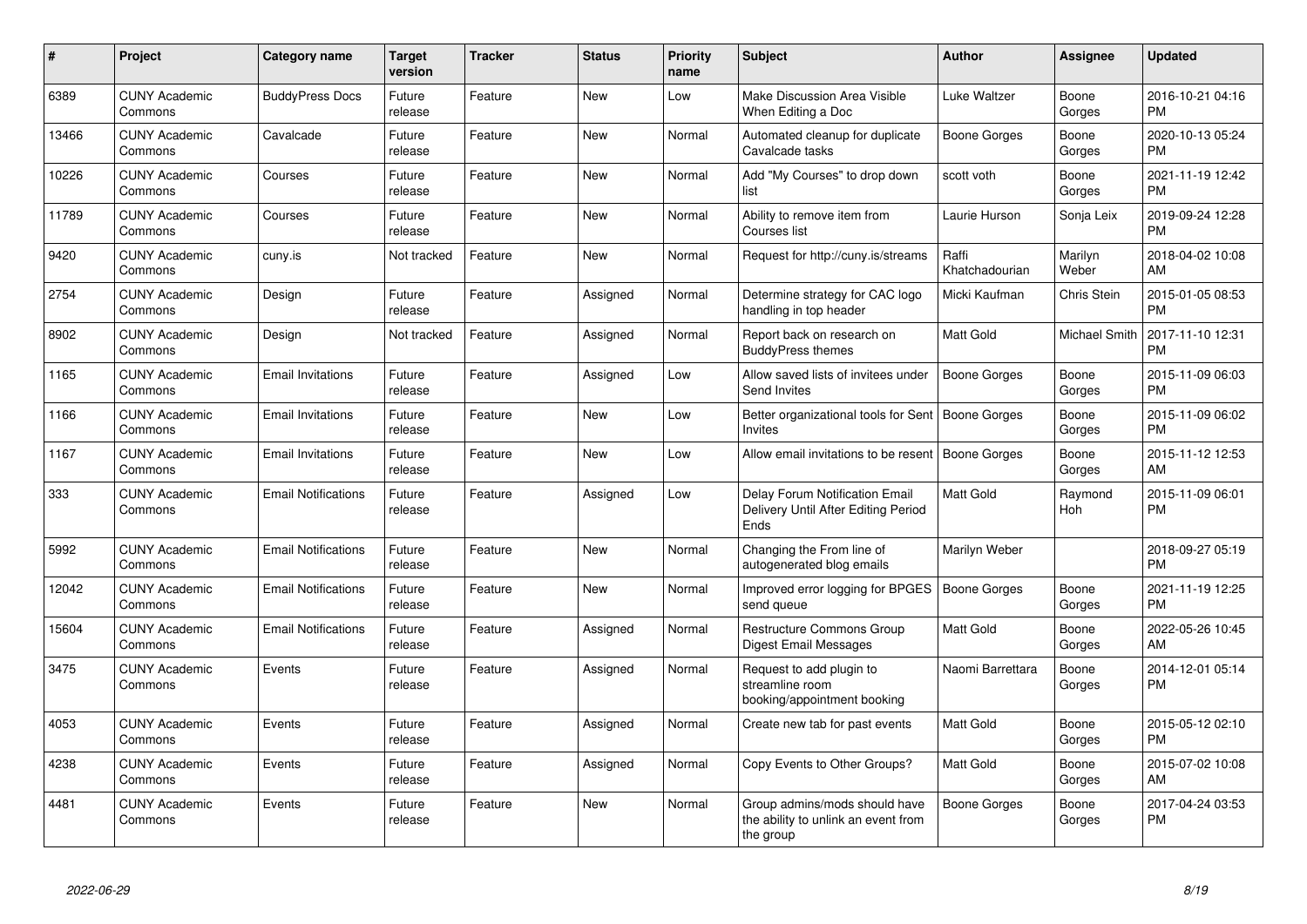| #     | <b>Project</b>                  | <b>Category name</b>       | Target<br>version | <b>Tracker</b> | <b>Status</b> | <b>Priority</b><br>name | <b>Subject</b>                                                                       | <b>Author</b>           | Assignee         | <b>Updated</b>                |
|-------|---------------------------------|----------------------------|-------------------|----------------|---------------|-------------------------|--------------------------------------------------------------------------------------|-------------------------|------------------|-------------------------------|
| 6389  | <b>CUNY Academic</b><br>Commons | <b>BuddyPress Docs</b>     | Future<br>release | Feature        | <b>New</b>    | Low                     | Make Discussion Area Visible<br>When Editing a Doc                                   | Luke Waltzer            | Boone<br>Gorges  | 2016-10-21 04:16<br><b>PM</b> |
| 13466 | <b>CUNY Academic</b><br>Commons | Cavalcade                  | Future<br>release | Feature        | <b>New</b>    | Normal                  | Automated cleanup for duplicate<br>Cavalcade tasks                                   | Boone Gorges            | Boone<br>Gorges  | 2020-10-13 05:24<br><b>PM</b> |
| 10226 | <b>CUNY Academic</b><br>Commons | Courses                    | Future<br>release | Feature        | New           | Normal                  | Add "My Courses" to drop down<br>list                                                | scott voth              | Boone<br>Gorges  | 2021-11-19 12:42<br><b>PM</b> |
| 11789 | <b>CUNY Academic</b><br>Commons | Courses                    | Future<br>release | Feature        | <b>New</b>    | Normal                  | Ability to remove item from<br>Courses list                                          | Laurie Hurson           | Sonja Leix       | 2019-09-24 12:28<br><b>PM</b> |
| 9420  | <b>CUNY Academic</b><br>Commons | cuny.is                    | Not tracked       | Feature        | <b>New</b>    | Normal                  | Request for http://cuny.is/streams                                                   | Raffi<br>Khatchadourian | Marilyn<br>Weber | 2018-04-02 10:08<br>AM        |
| 2754  | <b>CUNY Academic</b><br>Commons | Design                     | Future<br>release | Feature        | Assigned      | Normal                  | Determine strategy for CAC logo<br>handling in top header                            | Micki Kaufman           | Chris Stein      | 2015-01-05 08:53<br><b>PM</b> |
| 8902  | <b>CUNY Academic</b><br>Commons | Design                     | Not tracked       | Feature        | Assigned      | Normal                  | Report back on research on<br><b>BuddvPress themes</b>                               | Matt Gold               | Michael Smith    | 2017-11-10 12:31<br><b>PM</b> |
| 1165  | <b>CUNY Academic</b><br>Commons | <b>Email Invitations</b>   | Future<br>release | Feature        | Assigned      | Low                     | Allow saved lists of invitees under<br>Send Invites                                  | <b>Boone Gorges</b>     | Boone<br>Gorges  | 2015-11-09 06:03<br><b>PM</b> |
| 1166  | <b>CUNY Academic</b><br>Commons | <b>Email Invitations</b>   | Future<br>release | Feature        | New           | Low                     | Better organizational tools for Sent<br><b>Invites</b>                               | Boone Gorges            | Boone<br>Gorges  | 2015-11-09 06:02<br>PM        |
| 1167  | <b>CUNY Academic</b><br>Commons | <b>Email Invitations</b>   | Future<br>release | Feature        | <b>New</b>    | Low                     | Allow email invitations to be resent                                                 | <b>Boone Gorges</b>     | Boone<br>Gorges  | 2015-11-12 12:53<br>AM        |
| 333   | <b>CUNY Academic</b><br>Commons | <b>Email Notifications</b> | Future<br>release | Feature        | Assigned      | Low                     | <b>Delay Forum Notification Email</b><br>Delivery Until After Editing Period<br>Ends | Matt Gold               | Raymond<br>Hoh   | 2015-11-09 06:01<br><b>PM</b> |
| 5992  | <b>CUNY Academic</b><br>Commons | <b>Email Notifications</b> | Future<br>release | Feature        | <b>New</b>    | Normal                  | Changing the From line of<br>autogenerated blog emails                               | Marilyn Weber           |                  | 2018-09-27 05:19<br><b>PM</b> |
| 12042 | <b>CUNY Academic</b><br>Commons | <b>Email Notifications</b> | Future<br>release | Feature        | <b>New</b>    | Normal                  | Improved error logging for BPGES<br>send queue                                       | <b>Boone Gorges</b>     | Boone<br>Gorges  | 2021-11-19 12:25<br><b>PM</b> |
| 15604 | <b>CUNY Academic</b><br>Commons | <b>Email Notifications</b> | Future<br>release | Feature        | Assigned      | Normal                  | <b>Restructure Commons Group</b><br>Digest Email Messages                            | Matt Gold               | Boone<br>Gorges  | 2022-05-26 10:45<br>AM.       |
| 3475  | <b>CUNY Academic</b><br>Commons | Events                     | Future<br>release | Feature        | Assigned      | Normal                  | Request to add plugin to<br>streamline room<br>booking/appointment booking           | Naomi Barrettara        | Boone<br>Gorges  | 2014-12-01 05:14<br><b>PM</b> |
| 4053  | <b>CUNY Academic</b><br>Commons | Events                     | Future<br>release | Feature        | Assigned      | Normal                  | Create new tab for past events                                                       | <b>Matt Gold</b>        | Boone<br>Gorges  | 2015-05-12 02:10<br><b>PM</b> |
| 4238  | <b>CUNY Academic</b><br>Commons | Events                     | Future<br>release | Feature        | Assigned      | Normal                  | Copy Events to Other Groups?                                                         | Matt Gold               | Boone<br>Gorges  | 2015-07-02 10:08<br>AM        |
| 4481  | <b>CUNY Academic</b><br>Commons | Events                     | Future<br>release | Feature        | New           | Normal                  | Group admins/mods should have<br>the ability to unlink an event from<br>the group    | Boone Gorges            | Boone<br>Gorges  | 2017-04-24 03:53<br><b>PM</b> |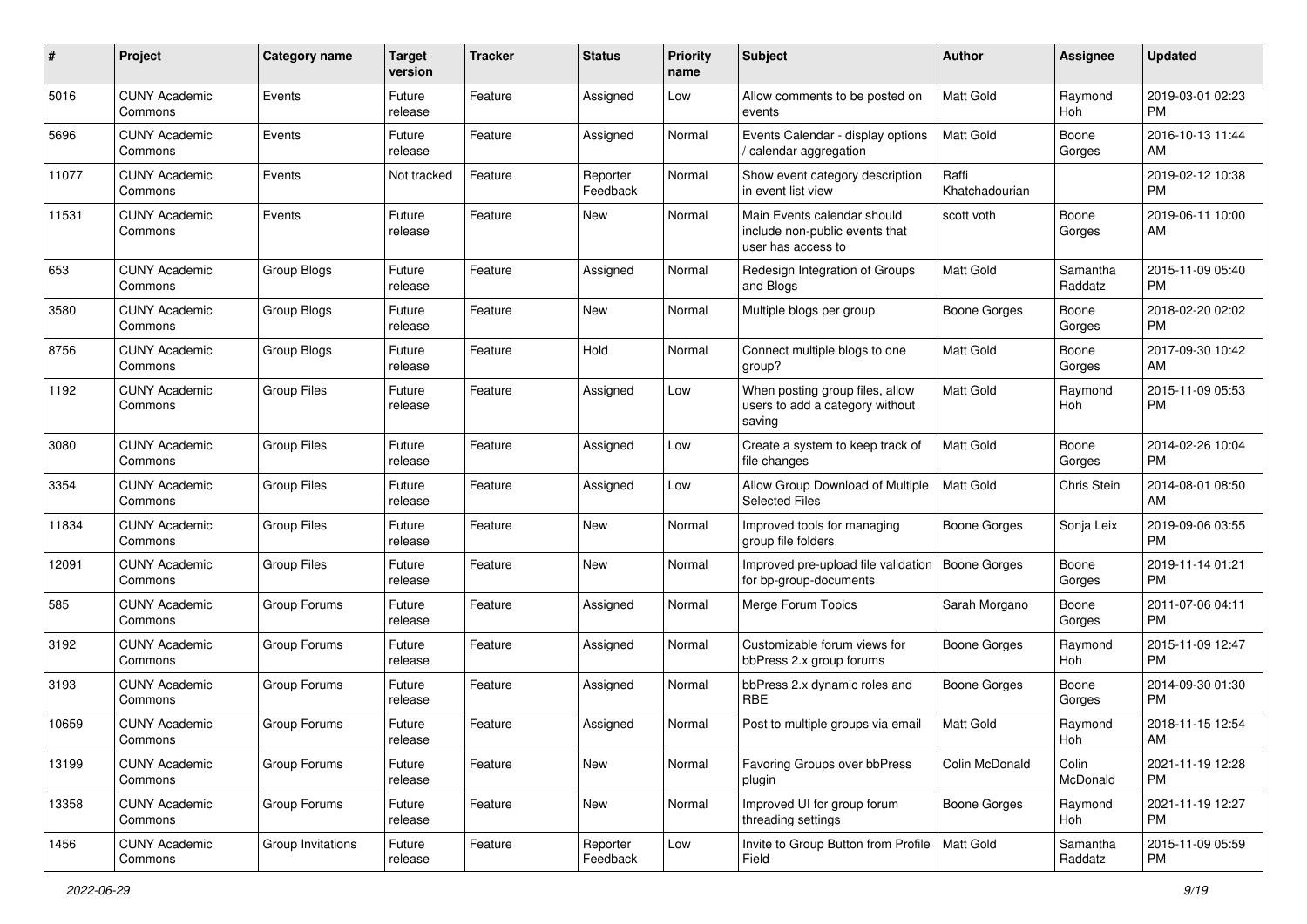| #     | Project                         | <b>Category name</b> | <b>Target</b><br>version | <b>Tracker</b> | <b>Status</b>        | <b>Priority</b><br>name | Subject                                                                             | Author                  | <b>Assignee</b>     | <b>Updated</b>                |
|-------|---------------------------------|----------------------|--------------------------|----------------|----------------------|-------------------------|-------------------------------------------------------------------------------------|-------------------------|---------------------|-------------------------------|
| 5016  | <b>CUNY Academic</b><br>Commons | Events               | Future<br>release        | Feature        | Assigned             | Low                     | Allow comments to be posted on<br>events                                            | <b>Matt Gold</b>        | Raymond<br>Hoh      | 2019-03-01 02:23<br><b>PM</b> |
| 5696  | <b>CUNY Academic</b><br>Commons | Events               | Future<br>release        | Feature        | Assigned             | Normal                  | Events Calendar - display options<br>/ calendar aggregation                         | <b>Matt Gold</b>        | Boone<br>Gorges     | 2016-10-13 11:44<br>AM        |
| 11077 | <b>CUNY Academic</b><br>Commons | Events               | Not tracked              | Feature        | Reporter<br>Feedback | Normal                  | Show event category description<br>in event list view                               | Raffi<br>Khatchadourian |                     | 2019-02-12 10:38<br><b>PM</b> |
| 11531 | <b>CUNY Academic</b><br>Commons | Events               | Future<br>release        | Feature        | New                  | Normal                  | Main Events calendar should<br>include non-public events that<br>user has access to | scott voth              | Boone<br>Gorges     | 2019-06-11 10:00<br>AM        |
| 653   | <b>CUNY Academic</b><br>Commons | <b>Group Blogs</b>   | Future<br>release        | Feature        | Assigned             | Normal                  | Redesign Integration of Groups<br>and Blogs                                         | <b>Matt Gold</b>        | Samantha<br>Raddatz | 2015-11-09 05:40<br><b>PM</b> |
| 3580  | <b>CUNY Academic</b><br>Commons | Group Blogs          | Future<br>release        | Feature        | <b>New</b>           | Normal                  | Multiple blogs per group                                                            | Boone Gorges            | Boone<br>Gorges     | 2018-02-20 02:02<br><b>PM</b> |
| 8756  | <b>CUNY Academic</b><br>Commons | Group Blogs          | Future<br>release        | Feature        | Hold                 | Normal                  | Connect multiple blogs to one<br>group?                                             | Matt Gold               | Boone<br>Gorges     | 2017-09-30 10:42<br>AM        |
| 1192  | <b>CUNY Academic</b><br>Commons | <b>Group Files</b>   | Future<br>release        | Feature        | Assigned             | Low                     | When posting group files, allow<br>users to add a category without<br>saving        | Matt Gold               | Raymond<br>Hoh      | 2015-11-09 05:53<br><b>PM</b> |
| 3080  | <b>CUNY Academic</b><br>Commons | <b>Group Files</b>   | Future<br>release        | Feature        | Assigned             | Low                     | Create a system to keep track of<br>file changes                                    | <b>Matt Gold</b>        | Boone<br>Gorges     | 2014-02-26 10:04<br><b>PM</b> |
| 3354  | <b>CUNY Academic</b><br>Commons | <b>Group Files</b>   | Future<br>release        | Feature        | Assigned             | Low                     | Allow Group Download of Multiple<br><b>Selected Files</b>                           | <b>Matt Gold</b>        | Chris Stein         | 2014-08-01 08:50<br>AM        |
| 11834 | <b>CUNY Academic</b><br>Commons | <b>Group Files</b>   | Future<br>release        | Feature        | New                  | Normal                  | Improved tools for managing<br>group file folders                                   | Boone Gorges            | Sonja Leix          | 2019-09-06 03:55<br><b>PM</b> |
| 12091 | <b>CUNY Academic</b><br>Commons | <b>Group Files</b>   | Future<br>release        | Feature        | <b>New</b>           | Normal                  | Improved pre-upload file validation<br>for bp-group-documents                       | Boone Gorges            | Boone<br>Gorges     | 2019-11-14 01:21<br><b>PM</b> |
| 585   | <b>CUNY Academic</b><br>Commons | Group Forums         | Future<br>release        | Feature        | Assigned             | Normal                  | Merge Forum Topics                                                                  | Sarah Morgano           | Boone<br>Gorges     | 2011-07-06 04:11<br><b>PM</b> |
| 3192  | <b>CUNY Academic</b><br>Commons | Group Forums         | Future<br>release        | Feature        | Assigned             | Normal                  | Customizable forum views for<br>bbPress 2.x group forums                            | Boone Gorges            | Raymond<br>Hoh      | 2015-11-09 12:47<br><b>PM</b> |
| 3193  | <b>CUNY Academic</b><br>Commons | Group Forums         | Future<br>release        | Feature        | Assigned             | Normal                  | bbPress 2.x dynamic roles and<br><b>RBE</b>                                         | Boone Gorges            | Boone<br>Gorges     | 2014-09-30 01:30<br><b>PM</b> |
| 10659 | <b>CUNY Academic</b><br>Commons | Group Forums         | Future<br>release        | Feature        | Assigned             | Normal                  | Post to multiple groups via email                                                   | <b>Matt Gold</b>        | Raymond<br>Hoh      | 2018-11-15 12:54<br>AM        |
| 13199 | <b>CUNY Academic</b><br>Commons | Group Forums         | Future<br>release        | Feature        | New                  | Normal                  | Favoring Groups over bbPress<br>plugin                                              | Colin McDonald          | Colin<br>McDonald   | 2021-11-19 12:28<br><b>PM</b> |
| 13358 | <b>CUNY Academic</b><br>Commons | Group Forums         | Future<br>release        | Feature        | New                  | Normal                  | Improved UI for group forum<br>threading settings                                   | Boone Gorges            | Raymond<br>Hoh      | 2021-11-19 12:27<br><b>PM</b> |
| 1456  | <b>CUNY Academic</b><br>Commons | Group Invitations    | Future<br>release        | Feature        | Reporter<br>Feedback | Low                     | Invite to Group Button from Profile   Matt Gold<br>Field                            |                         | Samantha<br>Raddatz | 2015-11-09 05:59<br><b>PM</b> |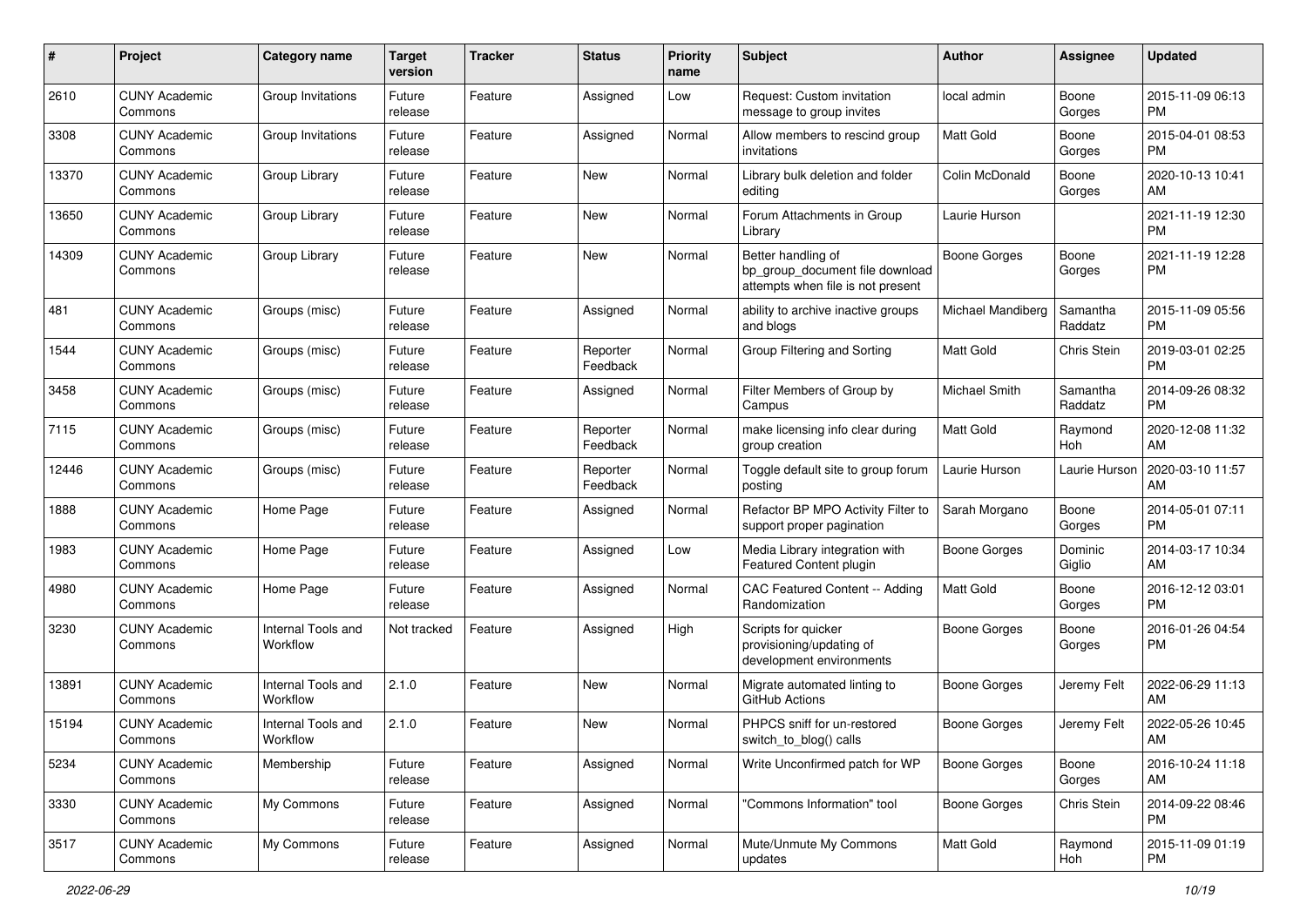| #     | Project                         | <b>Category name</b>           | <b>Target</b><br>version | <b>Tracker</b> | <b>Status</b>        | <b>Priority</b><br>name | <b>Subject</b>                                                                             | Author              | Assignee              | <b>Updated</b>                |
|-------|---------------------------------|--------------------------------|--------------------------|----------------|----------------------|-------------------------|--------------------------------------------------------------------------------------------|---------------------|-----------------------|-------------------------------|
| 2610  | <b>CUNY Academic</b><br>Commons | Group Invitations              | Future<br>release        | Feature        | Assigned             | Low                     | Request: Custom invitation<br>message to group invites                                     | local admin         | Boone<br>Gorges       | 2015-11-09 06:13<br>PM        |
| 3308  | <b>CUNY Academic</b><br>Commons | Group Invitations              | Future<br>release        | Feature        | Assigned             | Normal                  | Allow members to rescind group<br>invitations                                              | <b>Matt Gold</b>    | Boone<br>Gorges       | 2015-04-01 08:53<br><b>PM</b> |
| 13370 | <b>CUNY Academic</b><br>Commons | Group Library                  | Future<br>release        | Feature        | New                  | Normal                  | Library bulk deletion and folder<br>editing                                                | Colin McDonald      | Boone<br>Gorges       | 2020-10-13 10:41<br>AM        |
| 13650 | <b>CUNY Academic</b><br>Commons | Group Library                  | Future<br>release        | Feature        | New                  | Normal                  | Forum Attachments in Group<br>Library                                                      | Laurie Hurson       |                       | 2021-11-19 12:30<br><b>PM</b> |
| 14309 | <b>CUNY Academic</b><br>Commons | Group Library                  | Future<br>release        | Feature        | New                  | Normal                  | Better handling of<br>bp group document file download<br>attempts when file is not present | <b>Boone Gorges</b> | Boone<br>Gorges       | 2021-11-19 12:28<br><b>PM</b> |
| 481   | <b>CUNY Academic</b><br>Commons | Groups (misc)                  | Future<br>release        | Feature        | Assigned             | Normal                  | ability to archive inactive groups<br>and blogs                                            | Michael Mandiberg   | Samantha<br>Raddatz   | 2015-11-09 05:56<br><b>PM</b> |
| 1544  | <b>CUNY Academic</b><br>Commons | Groups (misc)                  | Future<br>release        | Feature        | Reporter<br>Feedback | Normal                  | Group Filtering and Sorting                                                                | Matt Gold           | Chris Stein           | 2019-03-01 02:25<br><b>PM</b> |
| 3458  | <b>CUNY Academic</b><br>Commons | Groups (misc)                  | Future<br>release        | Feature        | Assigned             | Normal                  | Filter Members of Group by<br>Campus                                                       | Michael Smith       | Samantha<br>Raddatz   | 2014-09-26 08:32<br><b>PM</b> |
| 7115  | <b>CUNY Academic</b><br>Commons | Groups (misc)                  | Future<br>release        | Feature        | Reporter<br>Feedback | Normal                  | make licensing info clear during<br>group creation                                         | <b>Matt Gold</b>    | Raymond<br><b>Hoh</b> | 2020-12-08 11:32<br>AM        |
| 12446 | <b>CUNY Academic</b><br>Commons | Groups (misc)                  | Future<br>release        | Feature        | Reporter<br>Feedback | Normal                  | Toggle default site to group forum<br>posting                                              | Laurie Hurson       | Laurie Hurson         | 2020-03-10 11:57<br>AM        |
| 1888  | <b>CUNY Academic</b><br>Commons | Home Page                      | Future<br>release        | Feature        | Assigned             | Normal                  | Refactor BP MPO Activity Filter to<br>support proper pagination                            | Sarah Morgano       | Boone<br>Gorges       | 2014-05-01 07:11<br><b>PM</b> |
| 1983  | <b>CUNY Academic</b><br>Commons | Home Page                      | Future<br>release        | Feature        | Assigned             | Low                     | Media Library integration with<br>Featured Content plugin                                  | Boone Gorges        | Dominic<br>Giglio     | 2014-03-17 10:34<br>AM        |
| 4980  | <b>CUNY Academic</b><br>Commons | Home Page                      | Future<br>release        | Feature        | Assigned             | Normal                  | CAC Featured Content -- Adding<br>Randomization                                            | <b>Matt Gold</b>    | Boone<br>Gorges       | 2016-12-12 03:01<br><b>PM</b> |
| 3230  | <b>CUNY Academic</b><br>Commons | Internal Tools and<br>Workflow | Not tracked              | Feature        | Assigned             | High                    | Scripts for quicker<br>provisioning/updating of<br>development environments                | Boone Gorges        | Boone<br>Gorges       | 2016-01-26 04:54<br><b>PM</b> |
| 13891 | <b>CUNY Academic</b><br>Commons | Internal Tools and<br>Workflow | 2.1.0                    | Feature        | New                  | Normal                  | Migrate automated linting to<br>GitHub Actions                                             | Boone Gorges        | Jeremy Felt           | 2022-06-29 11:13<br>AM        |
| 15194 | <b>CUNY Academic</b><br>Commons | Internal Tools and<br>Workflow | 2.1.0                    | Feature        | New                  | Normal                  | PHPCS sniff for un-restored<br>switch_to_blog() calls                                      | Boone Gorges        | Jeremy Felt           | 2022-05-26 10:45<br>AM        |
| 5234  | <b>CUNY Academic</b><br>Commons | Membership                     | Future<br>release        | Feature        | Assigned             | Normal                  | Write Unconfirmed patch for WP                                                             | Boone Gorges        | Boone<br>Gorges       | 2016-10-24 11:18<br>AM        |
| 3330  | <b>CUNY Academic</b><br>Commons | My Commons                     | Future<br>release        | Feature        | Assigned             | Normal                  | "Commons Information" tool                                                                 | Boone Gorges        | Chris Stein           | 2014-09-22 08:46<br><b>PM</b> |
| 3517  | <b>CUNY Academic</b><br>Commons | My Commons                     | Future<br>release        | Feature        | Assigned             | Normal                  | Mute/Unmute My Commons<br>updates                                                          | Matt Gold           | Raymond<br>Hoh        | 2015-11-09 01:19<br>PM        |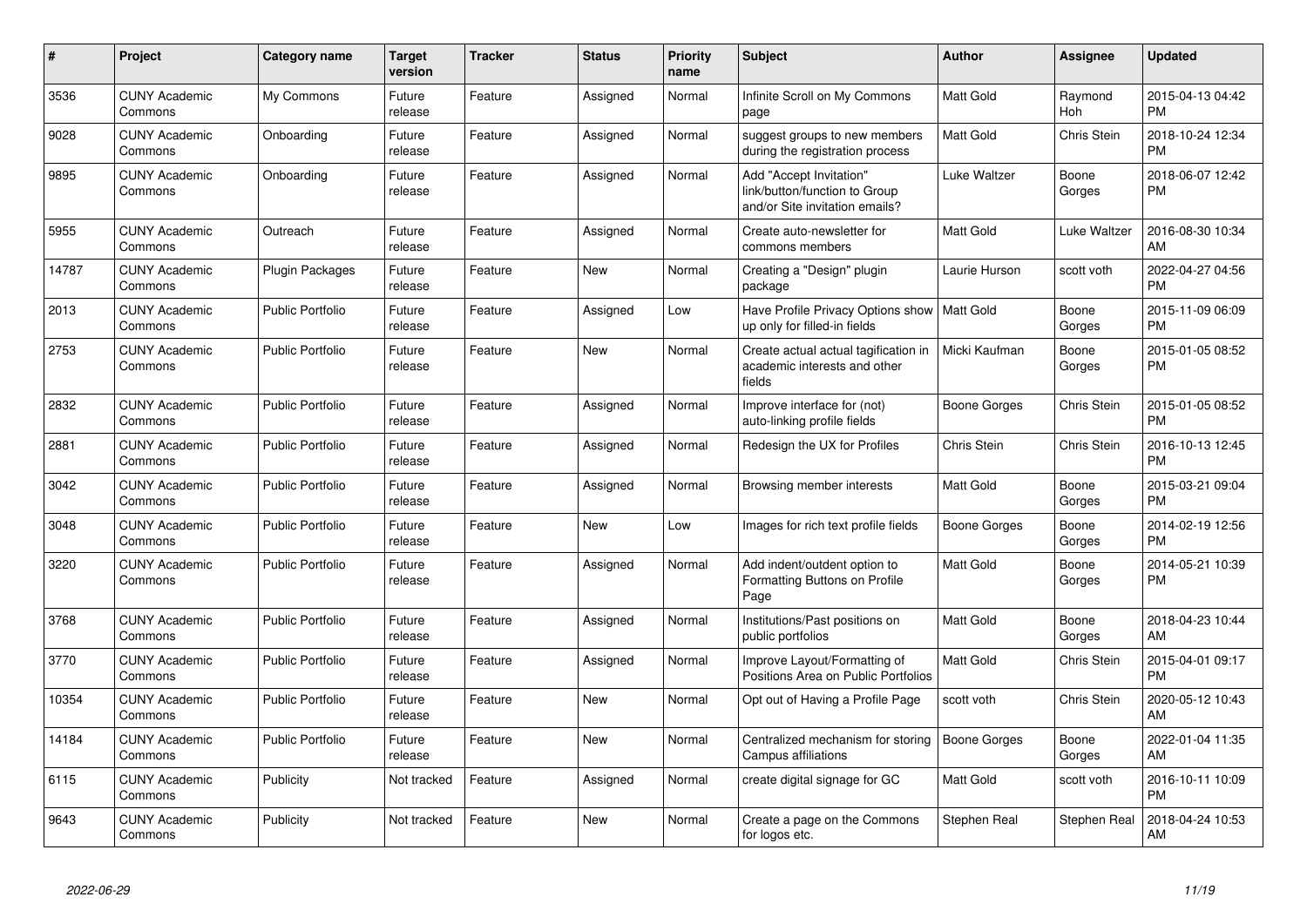| #     | <b>Project</b>                  | Category name           | <b>Target</b><br>version | <b>Tracker</b> | <b>Status</b> | <b>Priority</b><br>name | <b>Subject</b>                                                                             | <b>Author</b>    | Assignee        | <b>Updated</b>                |
|-------|---------------------------------|-------------------------|--------------------------|----------------|---------------|-------------------------|--------------------------------------------------------------------------------------------|------------------|-----------------|-------------------------------|
| 3536  | <b>CUNY Academic</b><br>Commons | My Commons              | Future<br>release        | Feature        | Assigned      | Normal                  | Infinite Scroll on My Commons<br>page                                                      | <b>Matt Gold</b> | Raymond<br>Hoh  | 2015-04-13 04:42<br><b>PM</b> |
| 9028  | <b>CUNY Academic</b><br>Commons | Onboarding              | Future<br>release        | Feature        | Assigned      | Normal                  | suggest groups to new members<br>during the registration process                           | <b>Matt Gold</b> | Chris Stein     | 2018-10-24 12:34<br><b>PM</b> |
| 9895  | <b>CUNY Academic</b><br>Commons | Onboarding              | Future<br>release        | Feature        | Assigned      | Normal                  | Add "Accept Invitation"<br>link/button/function to Group<br>and/or Site invitation emails? | Luke Waltzer     | Boone<br>Gorges | 2018-06-07 12:42<br>PM        |
| 5955  | <b>CUNY Academic</b><br>Commons | Outreach                | Future<br>release        | Feature        | Assigned      | Normal                  | Create auto-newsletter for<br>commons members                                              | <b>Matt Gold</b> | Luke Waltzer    | 2016-08-30 10:34<br>AM        |
| 14787 | <b>CUNY Academic</b><br>Commons | <b>Plugin Packages</b>  | Future<br>release        | Feature        | New           | Normal                  | Creating a "Design" plugin<br>package                                                      | Laurie Hurson    | scott voth      | 2022-04-27 04:56<br><b>PM</b> |
| 2013  | <b>CUNY Academic</b><br>Commons | <b>Public Portfolio</b> | Future<br>release        | Feature        | Assigned      | Low                     | Have Profile Privacy Options show   Matt Gold<br>up only for filled-in fields              |                  | Boone<br>Gorges | 2015-11-09 06:09<br><b>PM</b> |
| 2753  | <b>CUNY Academic</b><br>Commons | Public Portfolio        | Future<br>release        | Feature        | <b>New</b>    | Normal                  | Create actual actual tagification in<br>academic interests and other<br>fields             | Micki Kaufman    | Boone<br>Gorges | 2015-01-05 08:52<br><b>PM</b> |
| 2832  | <b>CUNY Academic</b><br>Commons | <b>Public Portfolio</b> | Future<br>release        | Feature        | Assigned      | Normal                  | Improve interface for (not)<br>auto-linking profile fields                                 | Boone Gorges     | Chris Stein     | 2015-01-05 08:52<br><b>PM</b> |
| 2881  | <b>CUNY Academic</b><br>Commons | <b>Public Portfolio</b> | Future<br>release        | Feature        | Assigned      | Normal                  | Redesign the UX for Profiles                                                               | Chris Stein      | Chris Stein     | 2016-10-13 12:45<br><b>PM</b> |
| 3042  | <b>CUNY Academic</b><br>Commons | <b>Public Portfolio</b> | Future<br>release        | Feature        | Assigned      | Normal                  | Browsing member interests                                                                  | Matt Gold        | Boone<br>Gorges | 2015-03-21 09:04<br><b>PM</b> |
| 3048  | <b>CUNY Academic</b><br>Commons | <b>Public Portfolio</b> | Future<br>release        | Feature        | <b>New</b>    | Low                     | Images for rich text profile fields                                                        | Boone Gorges     | Boone<br>Gorges | 2014-02-19 12:56<br><b>PM</b> |
| 3220  | <b>CUNY Academic</b><br>Commons | Public Portfolio        | Future<br>release        | Feature        | Assigned      | Normal                  | Add indent/outdent option to<br>Formatting Buttons on Profile<br>Page                      | <b>Matt Gold</b> | Boone<br>Gorges | 2014-05-21 10:39<br><b>PM</b> |
| 3768  | <b>CUNY Academic</b><br>Commons | <b>Public Portfolio</b> | Future<br>release        | Feature        | Assigned      | Normal                  | Institutions/Past positions on<br>public portfolios                                        | Matt Gold        | Boone<br>Gorges | 2018-04-23 10:44<br>AM        |
| 3770  | <b>CUNY Academic</b><br>Commons | <b>Public Portfolio</b> | Future<br>release        | Feature        | Assigned      | Normal                  | Improve Layout/Formatting of<br>Positions Area on Public Portfolios                        | Matt Gold        | Chris Stein     | 2015-04-01 09:17<br><b>PM</b> |
| 10354 | <b>CUNY Academic</b><br>Commons | <b>Public Portfolio</b> | Future<br>release        | Feature        | New           | Normal                  | Opt out of Having a Profile Page                                                           | scott voth       | Chris Stein     | 2020-05-12 10:43<br>AM        |
| 14184 | <b>CUNY Academic</b><br>Commons | <b>Public Portfolio</b> | Future<br>release        | Feature        | New           | Normal                  | Centralized mechanism for storing<br>Campus affiliations                                   | Boone Gorges     | Boone<br>Gorges | 2022-01-04 11:35<br>AM        |
| 6115  | <b>CUNY Academic</b><br>Commons | Publicity               | Not tracked              | Feature        | Assigned      | Normal                  | create digital signage for GC                                                              | <b>Matt Gold</b> | scott voth      | 2016-10-11 10:09<br><b>PM</b> |
| 9643  | <b>CUNY Academic</b><br>Commons | Publicity               | Not tracked              | Feature        | <b>New</b>    | Normal                  | Create a page on the Commons<br>for logos etc.                                             | Stephen Real     | Stephen Real    | 2018-04-24 10:53<br>AM        |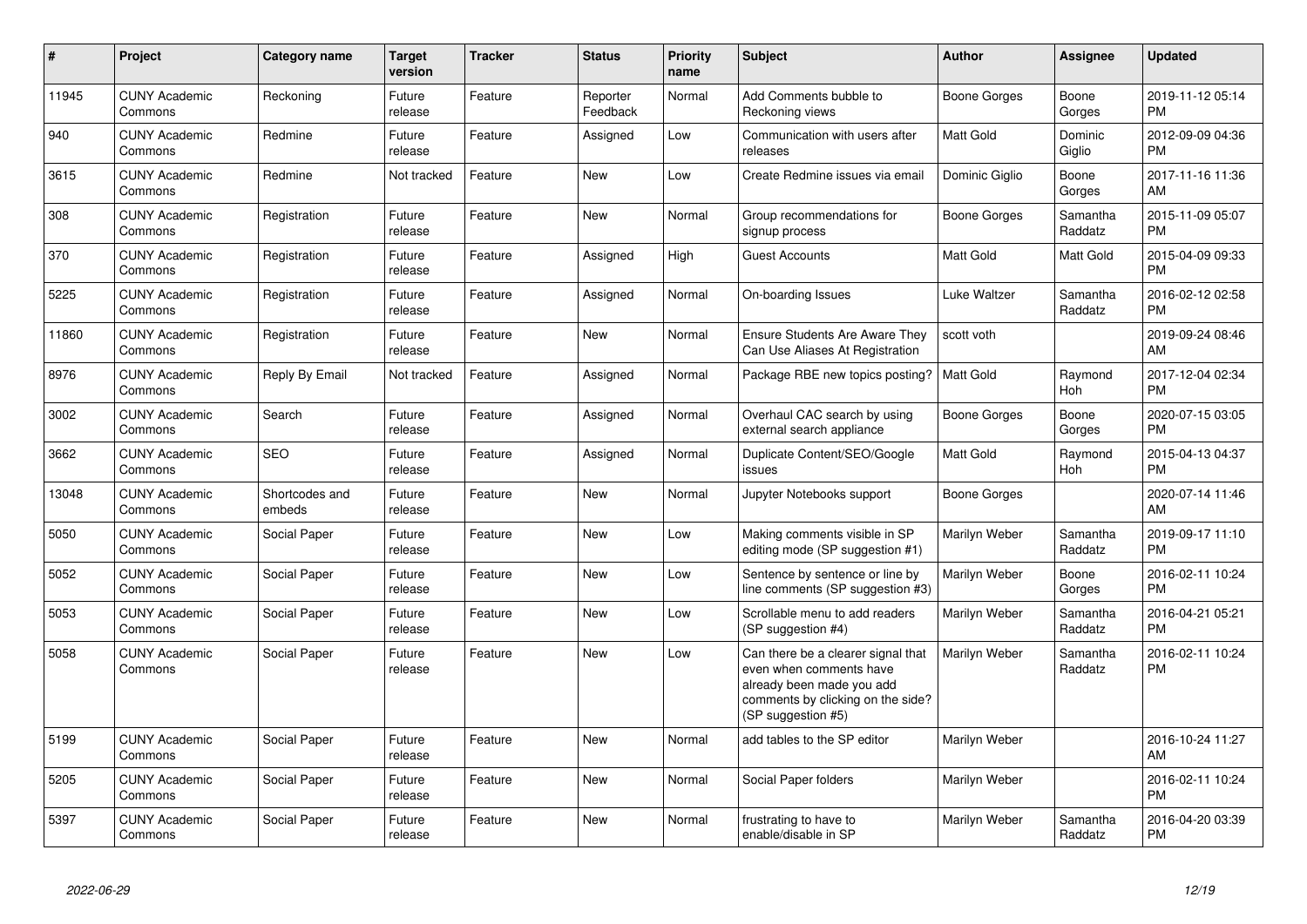| $\pmb{\#}$ | Project                         | <b>Category name</b>     | <b>Target</b><br>version | <b>Tracker</b> | <b>Status</b>        | <b>Priority</b><br>name | <b>Subject</b>                                                                                                                                        | <b>Author</b>    | <b>Assignee</b>     | <b>Updated</b>                |
|------------|---------------------------------|--------------------------|--------------------------|----------------|----------------------|-------------------------|-------------------------------------------------------------------------------------------------------------------------------------------------------|------------------|---------------------|-------------------------------|
| 11945      | <b>CUNY Academic</b><br>Commons | Reckoning                | Future<br>release        | Feature        | Reporter<br>Feedback | Normal                  | Add Comments bubble to<br>Reckoning views                                                                                                             | Boone Gorges     | Boone<br>Gorges     | 2019-11-12 05:14<br><b>PM</b> |
| 940        | <b>CUNY Academic</b><br>Commons | Redmine                  | Future<br>release        | Feature        | Assigned             | Low                     | Communication with users after<br>releases                                                                                                            | <b>Matt Gold</b> | Dominic<br>Giglio   | 2012-09-09 04:36<br><b>PM</b> |
| 3615       | <b>CUNY Academic</b><br>Commons | Redmine                  | Not tracked              | Feature        | <b>New</b>           | Low                     | Create Redmine issues via email                                                                                                                       | Dominic Giglio   | Boone<br>Gorges     | 2017-11-16 11:36<br>AM        |
| 308        | <b>CUNY Academic</b><br>Commons | Registration             | Future<br>release        | Feature        | New                  | Normal                  | Group recommendations for<br>signup process                                                                                                           | Boone Gorges     | Samantha<br>Raddatz | 2015-11-09 05:07<br><b>PM</b> |
| 370        | <b>CUNY Academic</b><br>Commons | Registration             | Future<br>release        | Feature        | Assigned             | High                    | Guest Accounts                                                                                                                                        | Matt Gold        | Matt Gold           | 2015-04-09 09:33<br><b>PM</b> |
| 5225       | <b>CUNY Academic</b><br>Commons | Registration             | Future<br>release        | Feature        | Assigned             | Normal                  | On-boarding Issues                                                                                                                                    | Luke Waltzer     | Samantha<br>Raddatz | 2016-02-12 02:58<br><b>PM</b> |
| 11860      | <b>CUNY Academic</b><br>Commons | Registration             | Future<br>release        | Feature        | New                  | Normal                  | <b>Ensure Students Are Aware They</b><br>Can Use Aliases At Registration                                                                              | scott voth       |                     | 2019-09-24 08:46<br>AM        |
| 8976       | <b>CUNY Academic</b><br>Commons | Reply By Email           | Not tracked              | Feature        | Assigned             | Normal                  | Package RBE new topics posting?                                                                                                                       | <b>Matt Gold</b> | Raymond<br>Hoh      | 2017-12-04 02:34<br><b>PM</b> |
| 3002       | <b>CUNY Academic</b><br>Commons | Search                   | Future<br>release        | Feature        | Assigned             | Normal                  | Overhaul CAC search by using<br>external search appliance                                                                                             | Boone Gorges     | Boone<br>Gorges     | 2020-07-15 03:05<br><b>PM</b> |
| 3662       | <b>CUNY Academic</b><br>Commons | <b>SEO</b>               | Future<br>release        | Feature        | Assigned             | Normal                  | Duplicate Content/SEO/Google<br>issues                                                                                                                | Matt Gold        | Raymond<br>Hoh      | 2015-04-13 04:37<br><b>PM</b> |
| 13048      | <b>CUNY Academic</b><br>Commons | Shortcodes and<br>embeds | Future<br>release        | Feature        | New                  | Normal                  | Jupyter Notebooks support                                                                                                                             | Boone Gorges     |                     | 2020-07-14 11:46<br>AM        |
| 5050       | <b>CUNY Academic</b><br>Commons | Social Paper             | Future<br>release        | Feature        | New                  | Low                     | Making comments visible in SP<br>editing mode (SP suggestion #1)                                                                                      | Marilyn Weber    | Samantha<br>Raddatz | 2019-09-17 11:10<br><b>PM</b> |
| 5052       | <b>CUNY Academic</b><br>Commons | Social Paper             | Future<br>release        | Feature        | New                  | Low                     | Sentence by sentence or line by<br>line comments (SP suggestion #3)                                                                                   | Marilyn Weber    | Boone<br>Gorges     | 2016-02-11 10:24<br><b>PM</b> |
| 5053       | <b>CUNY Academic</b><br>Commons | Social Paper             | Future<br>release        | Feature        | New                  | Low                     | Scrollable menu to add readers<br>(SP suggestion #4)                                                                                                  | Marilyn Weber    | Samantha<br>Raddatz | 2016-04-21 05:21<br><b>PM</b> |
| 5058       | <b>CUNY Academic</b><br>Commons | Social Paper             | Future<br>release        | Feature        | <b>New</b>           | Low                     | Can there be a clearer signal that<br>even when comments have<br>already been made you add<br>comments by clicking on the side?<br>(SP suggestion #5) | Marilyn Weber    | Samantha<br>Raddatz | 2016-02-11 10:24<br><b>PM</b> |
| 5199       | <b>CUNY Academic</b><br>Commons | Social Paper             | Future<br>release        | Feature        | New                  | Normal                  | add tables to the SP editor                                                                                                                           | Marilyn Weber    |                     | 2016-10-24 11:27<br>AM        |
| 5205       | <b>CUNY Academic</b><br>Commons | Social Paper             | Future<br>release        | Feature        | New                  | Normal                  | Social Paper folders                                                                                                                                  | Marilyn Weber    |                     | 2016-02-11 10:24<br><b>PM</b> |
| 5397       | <b>CUNY Academic</b><br>Commons | Social Paper             | Future<br>release        | Feature        | New                  | Normal                  | frustrating to have to<br>enable/disable in SP                                                                                                        | Marilyn Weber    | Samantha<br>Raddatz | 2016-04-20 03:39<br><b>PM</b> |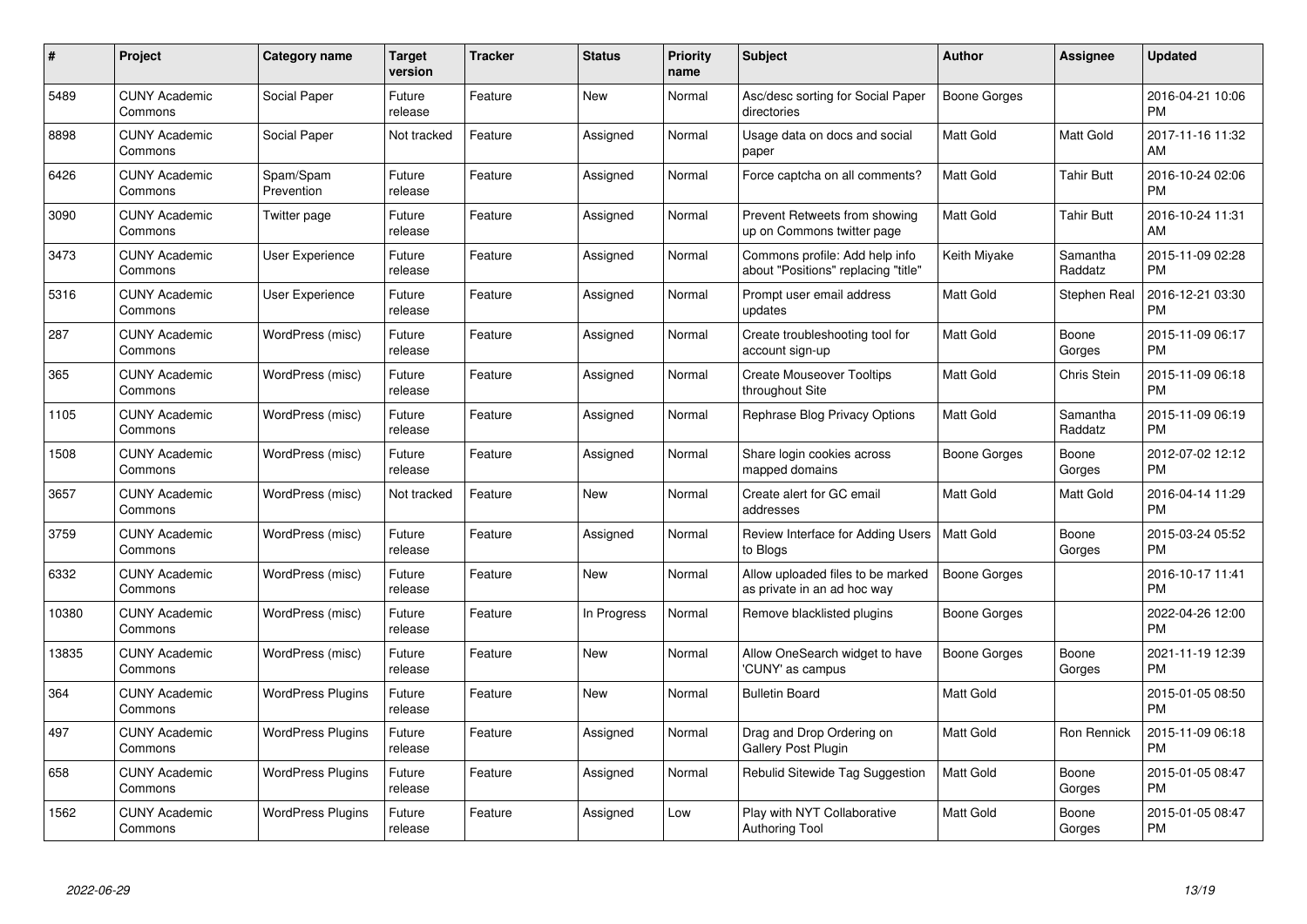| #     | Project                         | <b>Category name</b>     | <b>Target</b><br>version | <b>Tracker</b> | <b>Status</b> | Priority<br>name | <b>Subject</b>                                                        | <b>Author</b>    | <b>Assignee</b>     | <b>Updated</b>                |
|-------|---------------------------------|--------------------------|--------------------------|----------------|---------------|------------------|-----------------------------------------------------------------------|------------------|---------------------|-------------------------------|
| 5489  | <b>CUNY Academic</b><br>Commons | Social Paper             | Future<br>release        | Feature        | <b>New</b>    | Normal           | Asc/desc sorting for Social Paper<br>directories                      | Boone Gorges     |                     | 2016-04-21 10:06<br><b>PM</b> |
| 8898  | <b>CUNY Academic</b><br>Commons | Social Paper             | Not tracked              | Feature        | Assigned      | Normal           | Usage data on docs and social<br>paper                                | <b>Matt Gold</b> | Matt Gold           | 2017-11-16 11:32<br>AM        |
| 6426  | <b>CUNY Academic</b><br>Commons | Spam/Spam<br>Prevention  | Future<br>release        | Feature        | Assigned      | Normal           | Force captcha on all comments?                                        | Matt Gold        | Tahir Butt          | 2016-10-24 02:06<br><b>PM</b> |
| 3090  | <b>CUNY Academic</b><br>Commons | Twitter page             | Future<br>release        | Feature        | Assigned      | Normal           | Prevent Retweets from showing<br>up on Commons twitter page           | Matt Gold        | Tahir Butt          | 2016-10-24 11:31<br>AM        |
| 3473  | <b>CUNY Academic</b><br>Commons | User Experience          | Future<br>release        | Feature        | Assigned      | Normal           | Commons profile: Add help info<br>about "Positions" replacing "title" | Keith Miyake     | Samantha<br>Raddatz | 2015-11-09 02:28<br><b>PM</b> |
| 5316  | <b>CUNY Academic</b><br>Commons | <b>User Experience</b>   | Future<br>release        | Feature        | Assigned      | Normal           | Prompt user email address<br>updates                                  | <b>Matt Gold</b> | Stephen Real        | 2016-12-21 03:30<br><b>PM</b> |
| 287   | <b>CUNY Academic</b><br>Commons | WordPress (misc)         | Future<br>release        | Feature        | Assigned      | Normal           | Create troubleshooting tool for<br>account sign-up                    | Matt Gold        | Boone<br>Gorges     | 2015-11-09 06:17<br><b>PM</b> |
| 365   | <b>CUNY Academic</b><br>Commons | WordPress (misc)         | Future<br>release        | Feature        | Assigned      | Normal           | <b>Create Mouseover Tooltips</b><br>throughout Site                   | <b>Matt Gold</b> | Chris Stein         | 2015-11-09 06:18<br><b>PM</b> |
| 1105  | <b>CUNY Academic</b><br>Commons | WordPress (misc)         | Future<br>release        | Feature        | Assigned      | Normal           | Rephrase Blog Privacy Options                                         | Matt Gold        | Samantha<br>Raddatz | 2015-11-09 06:19<br><b>PM</b> |
| 1508  | <b>CUNY Academic</b><br>Commons | WordPress (misc)         | Future<br>release        | Feature        | Assigned      | Normal           | Share login cookies across<br>mapped domains                          | Boone Gorges     | Boone<br>Gorges     | 2012-07-02 12:12<br><b>PM</b> |
| 3657  | <b>CUNY Academic</b><br>Commons | WordPress (misc)         | Not tracked              | Feature        | New           | Normal           | Create alert for GC email<br>addresses                                | Matt Gold        | Matt Gold           | 2016-04-14 11:29<br><b>PM</b> |
| 3759  | <b>CUNY Academic</b><br>Commons | WordPress (misc)         | Future<br>release        | Feature        | Assigned      | Normal           | Review Interface for Adding Users<br>to Blogs                         | Matt Gold        | Boone<br>Gorges     | 2015-03-24 05:52<br><b>PM</b> |
| 6332  | <b>CUNY Academic</b><br>Commons | WordPress (misc)         | Future<br>release        | Feature        | New           | Normal           | Allow uploaded files to be marked<br>as private in an ad hoc way      | Boone Gorges     |                     | 2016-10-17 11:41<br><b>PM</b> |
| 10380 | <b>CUNY Academic</b><br>Commons | WordPress (misc)         | Future<br>release        | Feature        | In Progress   | Normal           | Remove blacklisted plugins                                            | Boone Gorges     |                     | 2022-04-26 12:00<br><b>PM</b> |
| 13835 | <b>CUNY Academic</b><br>Commons | WordPress (misc)         | Future<br>release        | Feature        | <b>New</b>    | Normal           | Allow OneSearch widget to have<br>'CUNY' as campus                    | Boone Gorges     | Boone<br>Gorges     | 2021-11-19 12:39<br><b>PM</b> |
| 364   | <b>CUNY Academic</b><br>Commons | <b>WordPress Plugins</b> | Future<br>release        | Feature        | New           | Normal           | <b>Bulletin Board</b>                                                 | Matt Gold        |                     | 2015-01-05 08:50<br><b>PM</b> |
| 497   | <b>CUNY Academic</b><br>Commons | <b>WordPress Plugins</b> | Future<br>release        | Feature        | Assigned      | Normal           | Drag and Drop Ordering on<br>Gallery Post Plugin                      | <b>Matt Gold</b> | Ron Rennick         | 2015-11-09 06:18<br><b>PM</b> |
| 658   | <b>CUNY Academic</b><br>Commons | <b>WordPress Plugins</b> | Future<br>release        | Feature        | Assigned      | Normal           | Rebulid Sitewide Tag Suggestion                                       | Matt Gold        | Boone<br>Gorges     | 2015-01-05 08:47<br><b>PM</b> |
| 1562  | CUNY Academic<br>Commons        | <b>WordPress Plugins</b> | Future<br>release        | Feature        | Assigned      | Low              | Play with NYT Collaborative<br>Authoring Tool                         | <b>Matt Gold</b> | Boone<br>Gorges     | 2015-01-05 08:47<br><b>PM</b> |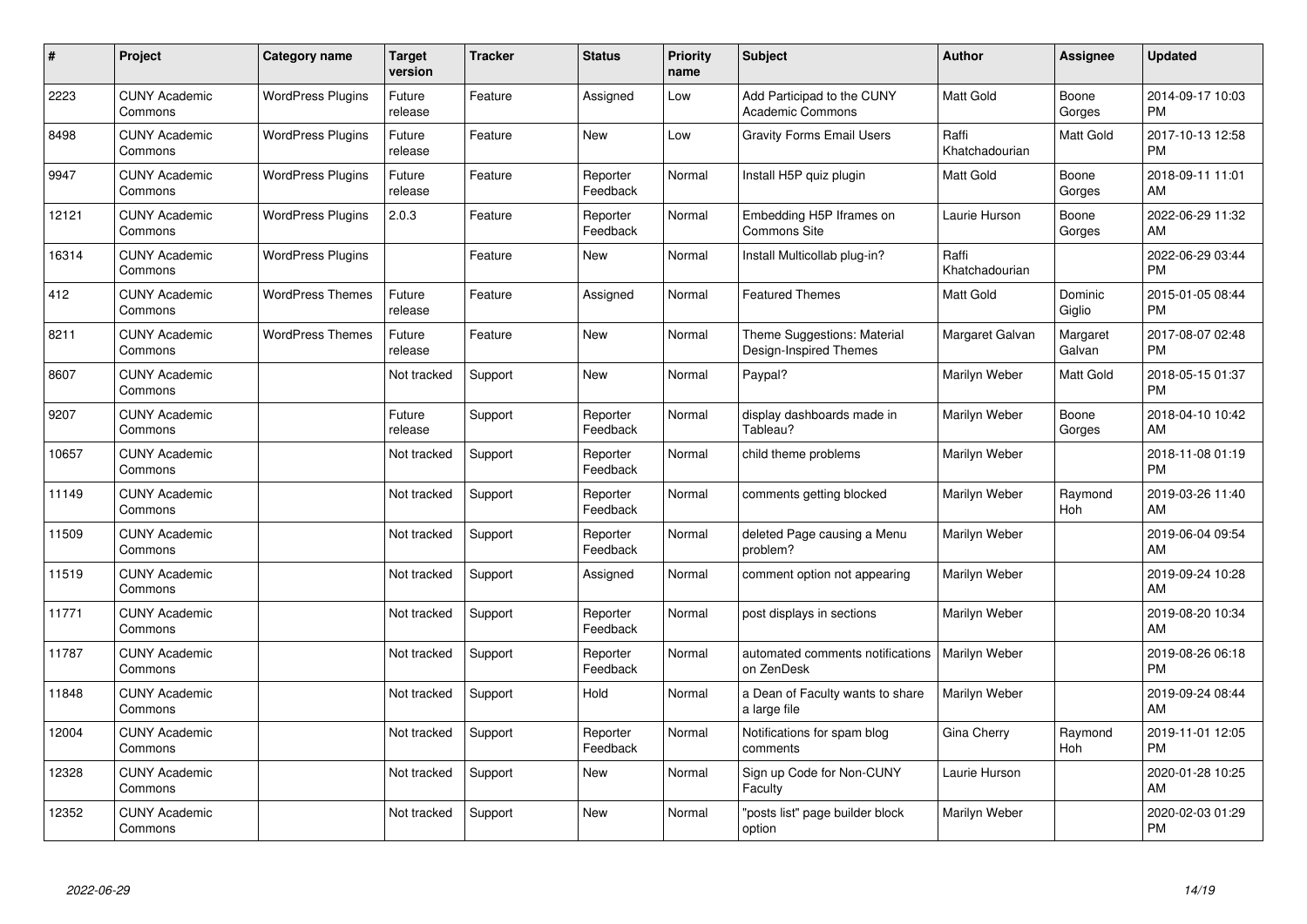| #     | Project                         | <b>Category name</b>     | <b>Target</b><br>version | <b>Tracker</b> | <b>Status</b>        | <b>Priority</b><br>name | <b>Subject</b>                                        | <b>Author</b>           | <b>Assignee</b>    | <b>Updated</b>                |
|-------|---------------------------------|--------------------------|--------------------------|----------------|----------------------|-------------------------|-------------------------------------------------------|-------------------------|--------------------|-------------------------------|
| 2223  | <b>CUNY Academic</b><br>Commons | <b>WordPress Plugins</b> | Future<br>release        | Feature        | Assigned             | Low                     | Add Participad to the CUNY<br><b>Academic Commons</b> | <b>Matt Gold</b>        | Boone<br>Gorges    | 2014-09-17 10:03<br><b>PM</b> |
| 8498  | <b>CUNY Academic</b><br>Commons | <b>WordPress Plugins</b> | Future<br>release        | Feature        | <b>New</b>           | Low                     | <b>Gravity Forms Email Users</b>                      | Raffi<br>Khatchadourian | Matt Gold          | 2017-10-13 12:58<br><b>PM</b> |
| 9947  | <b>CUNY Academic</b><br>Commons | <b>WordPress Plugins</b> | Future<br>release        | Feature        | Reporter<br>Feedback | Normal                  | Install H5P quiz plugin                               | Matt Gold               | Boone<br>Gorges    | 2018-09-11 11:01<br>AM        |
| 12121 | <b>CUNY Academic</b><br>Commons | <b>WordPress Plugins</b> | 2.0.3                    | Feature        | Reporter<br>Feedback | Normal                  | Embedding H5P Iframes on<br><b>Commons Site</b>       | Laurie Hurson           | Boone<br>Gorges    | 2022-06-29 11:32<br>AM        |
| 16314 | <b>CUNY Academic</b><br>Commons | <b>WordPress Plugins</b> |                          | Feature        | New                  | Normal                  | Install Multicollab plug-in?                          | Raffi<br>Khatchadourian |                    | 2022-06-29 03:44<br><b>PM</b> |
| 412   | <b>CUNY Academic</b><br>Commons | <b>WordPress Themes</b>  | Future<br>release        | Feature        | Assigned             | Normal                  | <b>Featured Themes</b>                                | Matt Gold               | Dominic<br>Giglio  | 2015-01-05 08:44<br><b>PM</b> |
| 8211  | <b>CUNY Academic</b><br>Commons | <b>WordPress Themes</b>  | Future<br>release        | Feature        | <b>New</b>           | Normal                  | Theme Suggestions: Material<br>Design-Inspired Themes | Margaret Galvan         | Margaret<br>Galvan | 2017-08-07 02:48<br><b>PM</b> |
| 8607  | <b>CUNY Academic</b><br>Commons |                          | Not tracked              | Support        | <b>New</b>           | Normal                  | Paypal?                                               | Marilyn Weber           | Matt Gold          | 2018-05-15 01:37<br><b>PM</b> |
| 9207  | <b>CUNY Academic</b><br>Commons |                          | Future<br>release        | Support        | Reporter<br>Feedback | Normal                  | display dashboards made in<br>Tableau?                | Marilyn Weber           | Boone<br>Gorges    | 2018-04-10 10:42<br>AM        |
| 10657 | <b>CUNY Academic</b><br>Commons |                          | Not tracked              | Support        | Reporter<br>Feedback | Normal                  | child theme problems                                  | Marilyn Weber           |                    | 2018-11-08 01:19<br><b>PM</b> |
| 11149 | <b>CUNY Academic</b><br>Commons |                          | Not tracked              | Support        | Reporter<br>Feedback | Normal                  | comments getting blocked                              | Marilyn Weber           | Raymond<br>Hoh     | 2019-03-26 11:40<br>AM        |
| 11509 | <b>CUNY Academic</b><br>Commons |                          | Not tracked              | Support        | Reporter<br>Feedback | Normal                  | deleted Page causing a Menu<br>problem?               | Marilyn Weber           |                    | 2019-06-04 09:54<br>AM        |
| 11519 | <b>CUNY Academic</b><br>Commons |                          | Not tracked              | Support        | Assigned             | Normal                  | comment option not appearing                          | Marilyn Weber           |                    | 2019-09-24 10:28<br>AM        |
| 11771 | <b>CUNY Academic</b><br>Commons |                          | Not tracked              | Support        | Reporter<br>Feedback | Normal                  | post displays in sections                             | Marilyn Weber           |                    | 2019-08-20 10:34<br>AM        |
| 11787 | <b>CUNY Academic</b><br>Commons |                          | Not tracked              | Support        | Reporter<br>Feedback | Normal                  | automated comments notifications<br>on ZenDesk        | <b>Marilyn Weber</b>    |                    | 2019-08-26 06:18<br><b>PM</b> |
| 11848 | <b>CUNY Academic</b><br>Commons |                          | Not tracked              | Support        | Hold                 | Normal                  | a Dean of Faculty wants to share<br>a large file      | <b>Marilyn Weber</b>    |                    | 2019-09-24 08:44<br>AM        |
| 12004 | <b>CUNY Academic</b><br>Commons |                          | Not tracked              | Support        | Reporter<br>Feedback | Normal                  | Notifications for spam blog<br>comments               | Gina Cherry             | Raymond<br>Hoh     | 2019-11-01 12:05<br><b>PM</b> |
| 12328 | <b>CUNY Academic</b><br>Commons |                          | Not tracked              | Support        | New                  | Normal                  | Sign up Code for Non-CUNY<br>Faculty                  | Laurie Hurson           |                    | 2020-01-28 10:25<br>AM        |
| 12352 | <b>CUNY Academic</b><br>Commons |                          | Not tracked              | Support        | <b>New</b>           | Normal                  | "posts list" page builder block<br>option             | Marilyn Weber           |                    | 2020-02-03 01:29<br><b>PM</b> |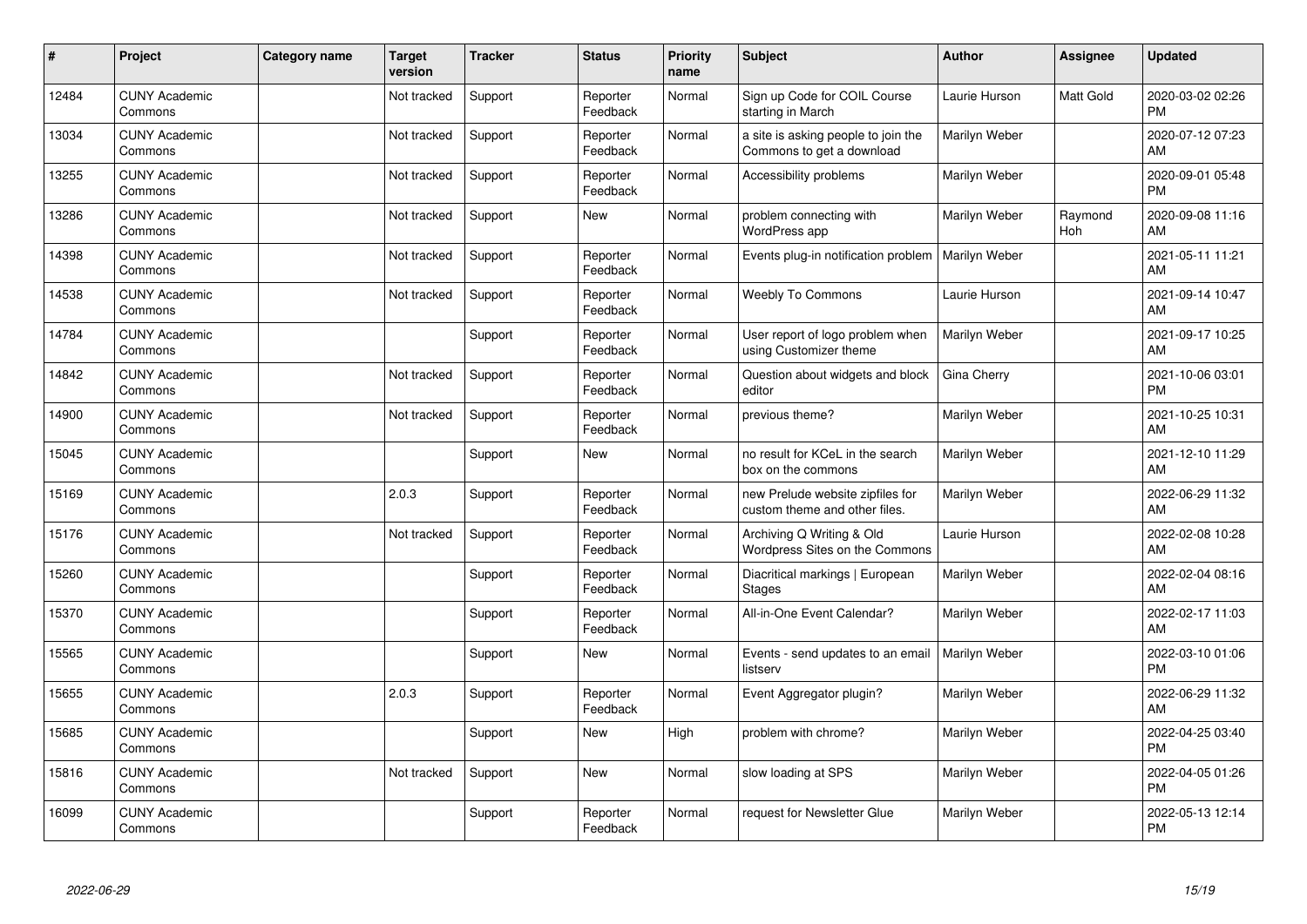| #     | Project                         | <b>Category name</b> | <b>Target</b><br>version | <b>Tracker</b> | <b>Status</b>        | <b>Priority</b><br>name | <b>Subject</b>                                                    | <b>Author</b>        | <b>Assignee</b> | <b>Updated</b>                |
|-------|---------------------------------|----------------------|--------------------------|----------------|----------------------|-------------------------|-------------------------------------------------------------------|----------------------|-----------------|-------------------------------|
| 12484 | <b>CUNY Academic</b><br>Commons |                      | Not tracked              | Support        | Reporter<br>Feedback | Normal                  | Sign up Code for COIL Course<br>starting in March                 | Laurie Hurson        | Matt Gold       | 2020-03-02 02:26<br><b>PM</b> |
| 13034 | <b>CUNY Academic</b><br>Commons |                      | Not tracked              | Support        | Reporter<br>Feedback | Normal                  | a site is asking people to join the<br>Commons to get a download  | Marilyn Weber        |                 | 2020-07-12 07:23<br><b>AM</b> |
| 13255 | <b>CUNY Academic</b><br>Commons |                      | Not tracked              | Support        | Reporter<br>Feedback | Normal                  | Accessibility problems                                            | Marilyn Weber        |                 | 2020-09-01 05:48<br><b>PM</b> |
| 13286 | <b>CUNY Academic</b><br>Commons |                      | Not tracked              | Support        | <b>New</b>           | Normal                  | problem connecting with<br>WordPress app                          | Marilyn Weber        | Raymond<br>Hoh  | 2020-09-08 11:16<br>AM        |
| 14398 | <b>CUNY Academic</b><br>Commons |                      | Not tracked              | Support        | Reporter<br>Feedback | Normal                  | Events plug-in notification problem                               | <b>Marilyn Weber</b> |                 | 2021-05-11 11:21<br><b>AM</b> |
| 14538 | <b>CUNY Academic</b><br>Commons |                      | Not tracked              | Support        | Reporter<br>Feedback | Normal                  | <b>Weebly To Commons</b>                                          | Laurie Hurson        |                 | 2021-09-14 10:47<br>AM        |
| 14784 | <b>CUNY Academic</b><br>Commons |                      |                          | Support        | Reporter<br>Feedback | Normal                  | User report of logo problem when<br>using Customizer theme        | Marilyn Weber        |                 | 2021-09-17 10:25<br>AM        |
| 14842 | <b>CUNY Academic</b><br>Commons |                      | Not tracked              | Support        | Reporter<br>Feedback | Normal                  | Question about widgets and block<br>editor                        | Gina Cherry          |                 | 2021-10-06 03:01<br><b>PM</b> |
| 14900 | <b>CUNY Academic</b><br>Commons |                      | Not tracked              | Support        | Reporter<br>Feedback | Normal                  | previous theme?                                                   | Marilyn Weber        |                 | 2021-10-25 10:31<br>AM        |
| 15045 | <b>CUNY Academic</b><br>Commons |                      |                          | Support        | <b>New</b>           | Normal                  | no result for KCeL in the search<br>box on the commons            | Marilyn Weber        |                 | 2021-12-10 11:29<br>AM        |
| 15169 | <b>CUNY Academic</b><br>Commons |                      | 2.0.3                    | Support        | Reporter<br>Feedback | Normal                  | new Prelude website zipfiles for<br>custom theme and other files. | Marilyn Weber        |                 | 2022-06-29 11:32<br>AM        |
| 15176 | <b>CUNY Academic</b><br>Commons |                      | Not tracked              | Support        | Reporter<br>Feedback | Normal                  | Archiving Q Writing & Old<br>Wordpress Sites on the Commons       | Laurie Hurson        |                 | 2022-02-08 10:28<br>AM        |
| 15260 | <b>CUNY Academic</b><br>Commons |                      |                          | Support        | Reporter<br>Feedback | Normal                  | Diacritical markings   European<br><b>Stages</b>                  | Marilyn Weber        |                 | 2022-02-04 08:16<br>AM        |
| 15370 | <b>CUNY Academic</b><br>Commons |                      |                          | Support        | Reporter<br>Feedback | Normal                  | All-in-One Event Calendar?                                        | Marilyn Weber        |                 | 2022-02-17 11:03<br><b>AM</b> |
| 15565 | <b>CUNY Academic</b><br>Commons |                      |                          | Support        | New                  | Normal                  | Events - send updates to an email<br>listserv                     | Marilyn Weber        |                 | 2022-03-10 01:06<br><b>PM</b> |
| 15655 | <b>CUNY Academic</b><br>Commons |                      | 2.0.3                    | Support        | Reporter<br>Feedback | Normal                  | Event Aggregator plugin?                                          | Marilyn Weber        |                 | 2022-06-29 11:32<br>AM        |
| 15685 | <b>CUNY Academic</b><br>Commons |                      |                          | Support        | New                  | High                    | problem with chrome?                                              | Marilyn Weber        |                 | 2022-04-25 03:40<br><b>PM</b> |
| 15816 | <b>CUNY Academic</b><br>Commons |                      | Not tracked              | Support        | <b>New</b>           | Normal                  | slow loading at SPS                                               | Marilyn Weber        |                 | 2022-04-05 01:26<br><b>PM</b> |
| 16099 | <b>CUNY Academic</b><br>Commons |                      |                          | Support        | Reporter<br>Feedback | Normal                  | request for Newsletter Glue                                       | Marilyn Weber        |                 | 2022-05-13 12:14<br>PM        |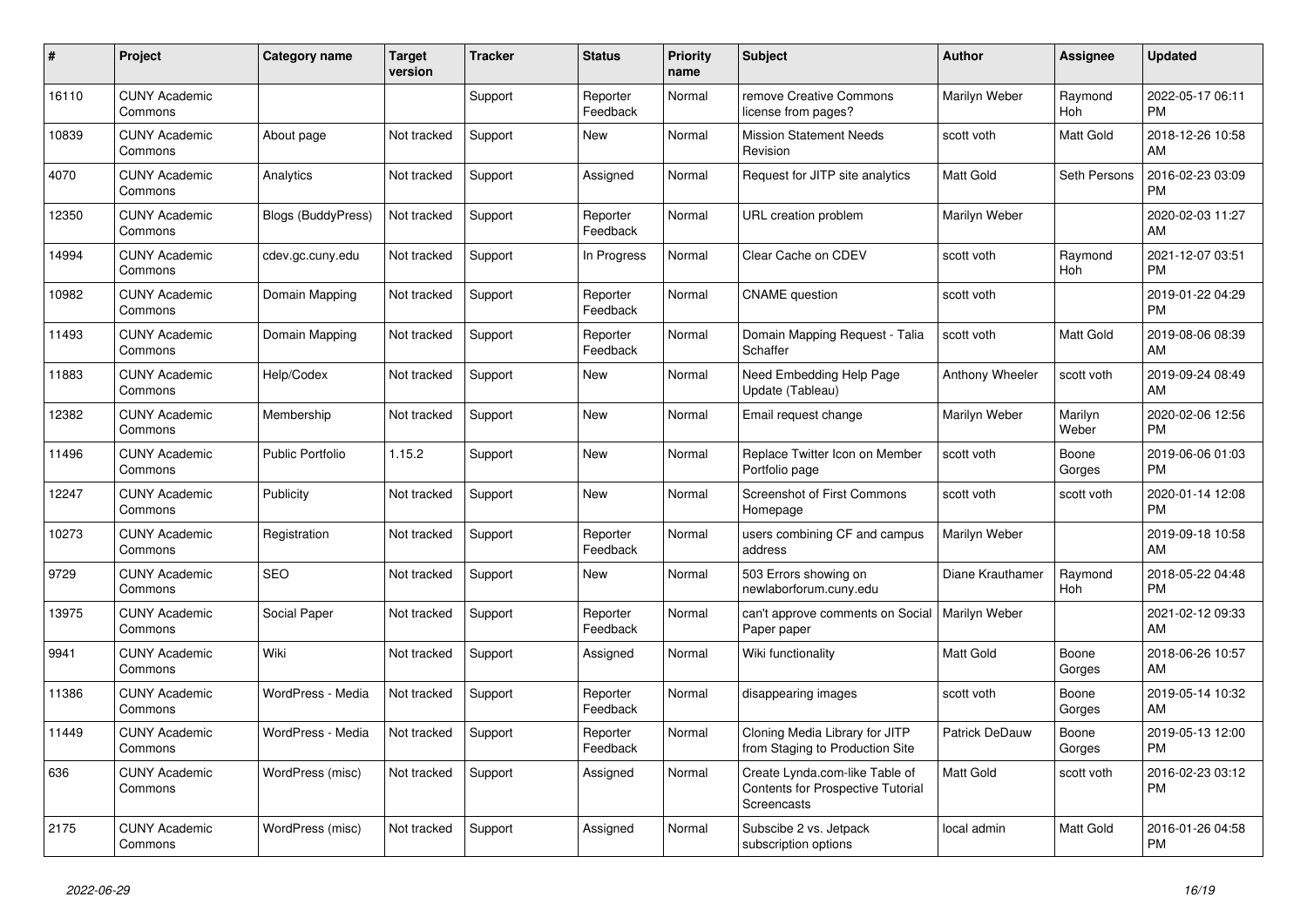| #     | Project                         | <b>Category name</b>      | <b>Target</b><br>version | <b>Tracker</b> | <b>Status</b>        | <b>Priority</b><br>name | <b>Subject</b>                                                                            | <b>Author</b>         | <b>Assignee</b>  | <b>Updated</b>                |
|-------|---------------------------------|---------------------------|--------------------------|----------------|----------------------|-------------------------|-------------------------------------------------------------------------------------------|-----------------------|------------------|-------------------------------|
| 16110 | <b>CUNY Academic</b><br>Commons |                           |                          | Support        | Reporter<br>Feedback | Normal                  | remove Creative Commons<br>license from pages?                                            | Marilyn Weber         | Raymond<br>Hoh   | 2022-05-17 06:11<br><b>PM</b> |
| 10839 | <b>CUNY Academic</b><br>Commons | About page                | Not tracked              | Support        | New                  | Normal                  | <b>Mission Statement Needs</b><br>Revision                                                | scott voth            | Matt Gold        | 2018-12-26 10:58<br>AM        |
| 4070  | <b>CUNY Academic</b><br>Commons | Analytics                 | Not tracked              | Support        | Assigned             | Normal                  | Request for JITP site analytics                                                           | <b>Matt Gold</b>      | Seth Persons     | 2016-02-23 03:09<br><b>PM</b> |
| 12350 | <b>CUNY Academic</b><br>Commons | <b>Blogs (BuddyPress)</b> | Not tracked              | Support        | Reporter<br>Feedback | Normal                  | URL creation problem                                                                      | Marilyn Weber         |                  | 2020-02-03 11:27<br>AM        |
| 14994 | <b>CUNY Academic</b><br>Commons | cdev.gc.cuny.edu          | Not tracked              | Support        | In Progress          | Normal                  | Clear Cache on CDEV                                                                       | scott voth            | Raymond<br>Hoh   | 2021-12-07 03:51<br><b>PM</b> |
| 10982 | <b>CUNY Academic</b><br>Commons | Domain Mapping            | Not tracked              | Support        | Reporter<br>Feedback | Normal                  | <b>CNAME</b> question                                                                     | scott voth            |                  | 2019-01-22 04:29<br><b>PM</b> |
| 11493 | <b>CUNY Academic</b><br>Commons | Domain Mapping            | Not tracked              | Support        | Reporter<br>Feedback | Normal                  | Domain Mapping Request - Talia<br>Schaffer                                                | scott voth            | Matt Gold        | 2019-08-06 08:39<br>AM        |
| 11883 | <b>CUNY Academic</b><br>Commons | Help/Codex                | Not tracked              | Support        | New                  | Normal                  | Need Embedding Help Page<br>Update (Tableau)                                              | Anthony Wheeler       | scott voth       | 2019-09-24 08:49<br>AM        |
| 12382 | <b>CUNY Academic</b><br>Commons | Membership                | Not tracked              | Support        | <b>New</b>           | Normal                  | Email request change                                                                      | Marilyn Weber         | Marilyn<br>Weber | 2020-02-06 12:56<br><b>PM</b> |
| 11496 | <b>CUNY Academic</b><br>Commons | <b>Public Portfolio</b>   | 1.15.2                   | Support        | <b>New</b>           | Normal                  | Replace Twitter Icon on Member<br>Portfolio page                                          | scott voth            | Boone<br>Gorges  | 2019-06-06 01:03<br><b>PM</b> |
| 12247 | <b>CUNY Academic</b><br>Commons | Publicity                 | Not tracked              | Support        | New                  | Normal                  | <b>Screenshot of First Commons</b><br>Homepage                                            | scott voth            | scott voth       | 2020-01-14 12:08<br><b>PM</b> |
| 10273 | <b>CUNY Academic</b><br>Commons | Registration              | Not tracked              | Support        | Reporter<br>Feedback | Normal                  | users combining CF and campus<br>address                                                  | Marilyn Weber         |                  | 2019-09-18 10:58<br>AM        |
| 9729  | <b>CUNY Academic</b><br>Commons | <b>SEO</b>                | Not tracked              | Support        | New                  | Normal                  | 503 Errors showing on<br>newlaborforum.cuny.edu                                           | Diane Krauthamer      | Raymond<br>Hoh   | 2018-05-22 04:48<br><b>PM</b> |
| 13975 | <b>CUNY Academic</b><br>Commons | Social Paper              | Not tracked              | Support        | Reporter<br>Feedback | Normal                  | can't approve comments on Social<br>Paper paper                                           | Marilyn Weber         |                  | 2021-02-12 09:33<br>AM        |
| 9941  | <b>CUNY Academic</b><br>Commons | Wiki                      | Not tracked              | Support        | Assigned             | Normal                  | Wiki functionality                                                                        | <b>Matt Gold</b>      | Boone<br>Gorges  | 2018-06-26 10:57<br>AM        |
| 11386 | <b>CUNY Academic</b><br>Commons | WordPress - Media         | Not tracked              | Support        | Reporter<br>Feedback | Normal                  | disappearing images                                                                       | scott voth            | Boone<br>Gorges  | 2019-05-14 10:32<br>AM        |
| 11449 | <b>CUNY Academic</b><br>Commons | WordPress - Media         | Not tracked              | Support        | Reporter<br>Feedback | Normal                  | Cloning Media Library for JITP<br>from Staging to Production Site                         | <b>Patrick DeDauw</b> | Boone<br>Gorges  | 2019-05-13 12:00<br><b>PM</b> |
| 636   | <b>CUNY Academic</b><br>Commons | WordPress (misc)          | Not tracked              | Support        | Assigned             | Normal                  | Create Lynda.com-like Table of<br><b>Contents for Prospective Tutorial</b><br>Screencasts | Matt Gold             | scott voth       | 2016-02-23 03:12<br><b>PM</b> |
| 2175  | <b>CUNY Academic</b><br>Commons | WordPress (misc)          | Not tracked              | Support        | Assigned             | Normal                  | Subscibe 2 vs. Jetpack<br>subscription options                                            | local admin           | Matt Gold        | 2016-01-26 04:58<br><b>PM</b> |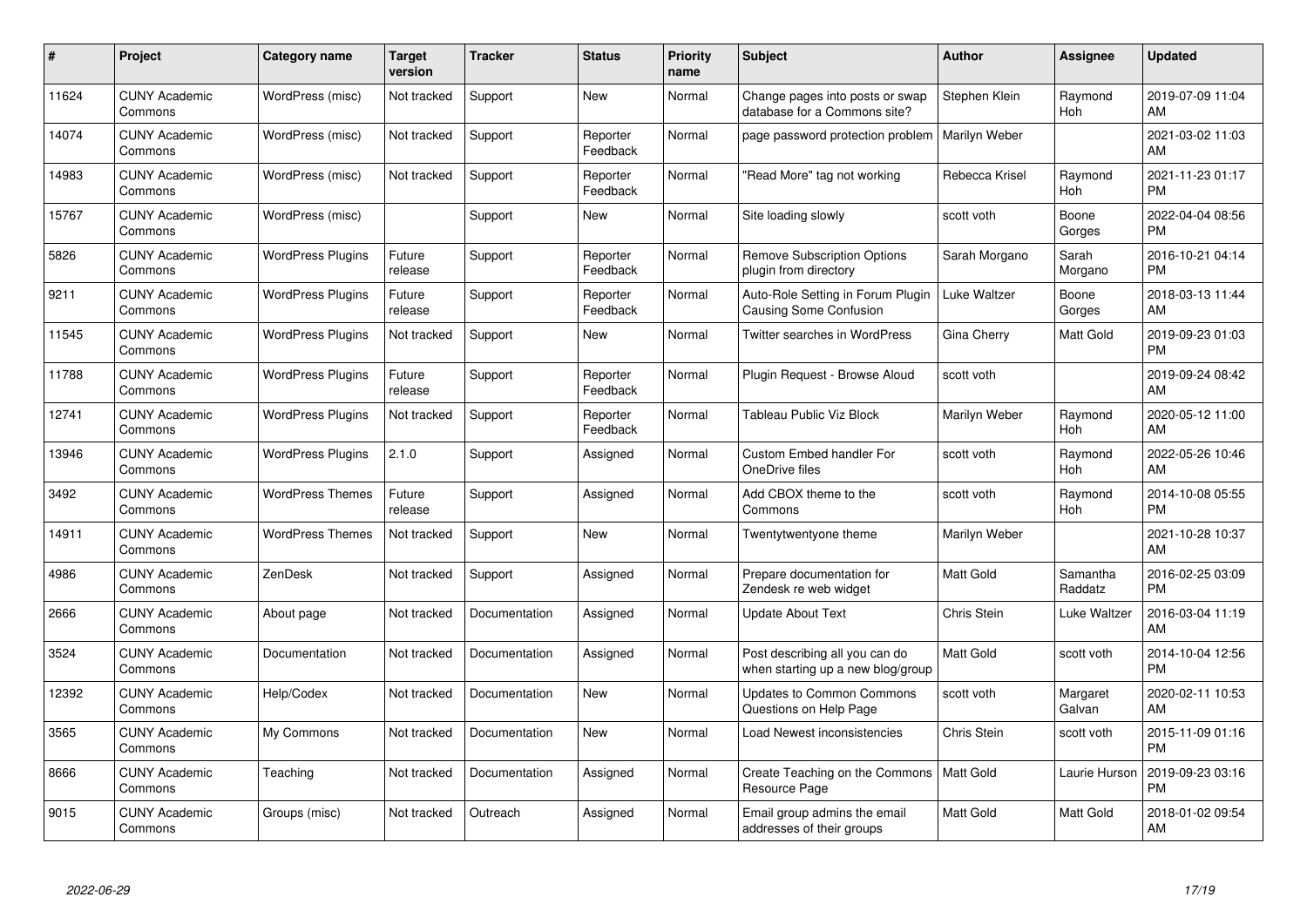| #     | Project                         | <b>Category name</b>     | <b>Target</b><br>version | <b>Tracker</b> | <b>Status</b>        | Priority<br>name | <b>Subject</b>                                                      | <b>Author</b>    | <b>Assignee</b>     | <b>Updated</b>                |
|-------|---------------------------------|--------------------------|--------------------------|----------------|----------------------|------------------|---------------------------------------------------------------------|------------------|---------------------|-------------------------------|
| 11624 | <b>CUNY Academic</b><br>Commons | WordPress (misc)         | Not tracked              | Support        | <b>New</b>           | Normal           | Change pages into posts or swap<br>database for a Commons site?     | Stephen Klein    | Raymond<br>Hoh      | 2019-07-09 11:04<br>AM        |
| 14074 | <b>CUNY Academic</b><br>Commons | WordPress (misc)         | Not tracked              | Support        | Reporter<br>Feedback | Normal           | page password protection problem                                    | Marilyn Weber    |                     | 2021-03-02 11:03<br>AM        |
| 14983 | <b>CUNY Academic</b><br>Commons | WordPress (misc)         | Not tracked              | Support        | Reporter<br>Feedback | Normal           | "Read More" tag not working                                         | Rebecca Krisel   | Raymond<br>Hoh      | 2021-11-23 01:17<br><b>PM</b> |
| 15767 | <b>CUNY Academic</b><br>Commons | WordPress (misc)         |                          | Support        | <b>New</b>           | Normal           | Site loading slowly                                                 | scott voth       | Boone<br>Gorges     | 2022-04-04 08:56<br><b>PM</b> |
| 5826  | <b>CUNY Academic</b><br>Commons | <b>WordPress Plugins</b> | Future<br>release        | Support        | Reporter<br>Feedback | Normal           | <b>Remove Subscription Options</b><br>plugin from directory         | Sarah Morgano    | Sarah<br>Morgano    | 2016-10-21 04:14<br><b>PM</b> |
| 9211  | <b>CUNY Academic</b><br>Commons | <b>WordPress Plugins</b> | Future<br>release        | Support        | Reporter<br>Feedback | Normal           | Auto-Role Setting in Forum Plugin<br>Causing Some Confusion         | Luke Waltzer     | Boone<br>Gorges     | 2018-03-13 11:44<br>AM        |
| 11545 | <b>CUNY Academic</b><br>Commons | <b>WordPress Plugins</b> | Not tracked              | Support        | New                  | Normal           | Twitter searches in WordPress                                       | Gina Cherry      | Matt Gold           | 2019-09-23 01:03<br><b>PM</b> |
| 11788 | <b>CUNY Academic</b><br>Commons | <b>WordPress Plugins</b> | Future<br>release        | Support        | Reporter<br>Feedback | Normal           | Plugin Request - Browse Aloud                                       | scott voth       |                     | 2019-09-24 08:42<br>AM        |
| 12741 | <b>CUNY Academic</b><br>Commons | <b>WordPress Plugins</b> | Not tracked              | Support        | Reporter<br>Feedback | Normal           | Tableau Public Viz Block                                            | Marilyn Weber    | Raymond<br>Hoh      | 2020-05-12 11:00<br>AM        |
| 13946 | <b>CUNY Academic</b><br>Commons | <b>WordPress Plugins</b> | 2.1.0                    | Support        | Assigned             | Normal           | <b>Custom Embed handler For</b><br>OneDrive files                   | scott voth       | Raymond<br>Hoh      | 2022-05-26 10:46<br>AM        |
| 3492  | <b>CUNY Academic</b><br>Commons | <b>WordPress Themes</b>  | Future<br>release        | Support        | Assigned             | Normal           | Add CBOX theme to the<br>Commons                                    | scott voth       | Raymond<br>Hoh      | 2014-10-08 05:55<br><b>PM</b> |
| 14911 | <b>CUNY Academic</b><br>Commons | <b>WordPress Themes</b>  | Not tracked              | Support        | New                  | Normal           | Twentytwentyone theme                                               | Marilyn Weber    |                     | 2021-10-28 10:37<br>AM        |
| 4986  | <b>CUNY Academic</b><br>Commons | <b>ZenDesk</b>           | Not tracked              | Support        | Assigned             | Normal           | Prepare documentation for<br>Zendesk re web widget                  | <b>Matt Gold</b> | Samantha<br>Raddatz | 2016-02-25 03:09<br><b>PM</b> |
| 2666  | <b>CUNY Academic</b><br>Commons | About page               | Not tracked              | Documentation  | Assigned             | Normal           | <b>Update About Text</b>                                            | Chris Stein      | Luke Waltzer        | 2016-03-04 11:19<br>AM        |
| 3524  | <b>CUNY Academic</b><br>Commons | Documentation            | Not tracked              | Documentation  | Assigned             | Normal           | Post describing all you can do<br>when starting up a new blog/group | Matt Gold        | scott voth          | 2014-10-04 12:56<br><b>PM</b> |
| 12392 | <b>CUNY Academic</b><br>Commons | Help/Codex               | Not tracked              | Documentation  | New                  | Normal           | <b>Updates to Common Commons</b><br>Questions on Help Page          | scott voth       | Margaret<br>Galvan  | 2020-02-11 10:53<br>AM        |
| 3565  | <b>CUNY Academic</b><br>Commons | My Commons               | Not tracked              | Documentation  | <b>New</b>           | Normal           | Load Newest inconsistencies                                         | Chris Stein      | scott voth          | 2015-11-09 01:16<br><b>PM</b> |
| 8666  | <b>CUNY Academic</b><br>Commons | Teaching                 | Not tracked              | Documentation  | Assigned             | Normal           | Create Teaching on the Commons<br>Resource Page                     | <b>Matt Gold</b> | Laurie Hurson       | 2019-09-23 03:16<br><b>PM</b> |
| 9015  | CUNY Academic<br>Commons        | Groups (misc)            | Not tracked              | Outreach       | Assigned             | Normal           | Email group admins the email<br>addresses of their groups           | <b>Matt Gold</b> | Matt Gold           | 2018-01-02 09:54<br>AM        |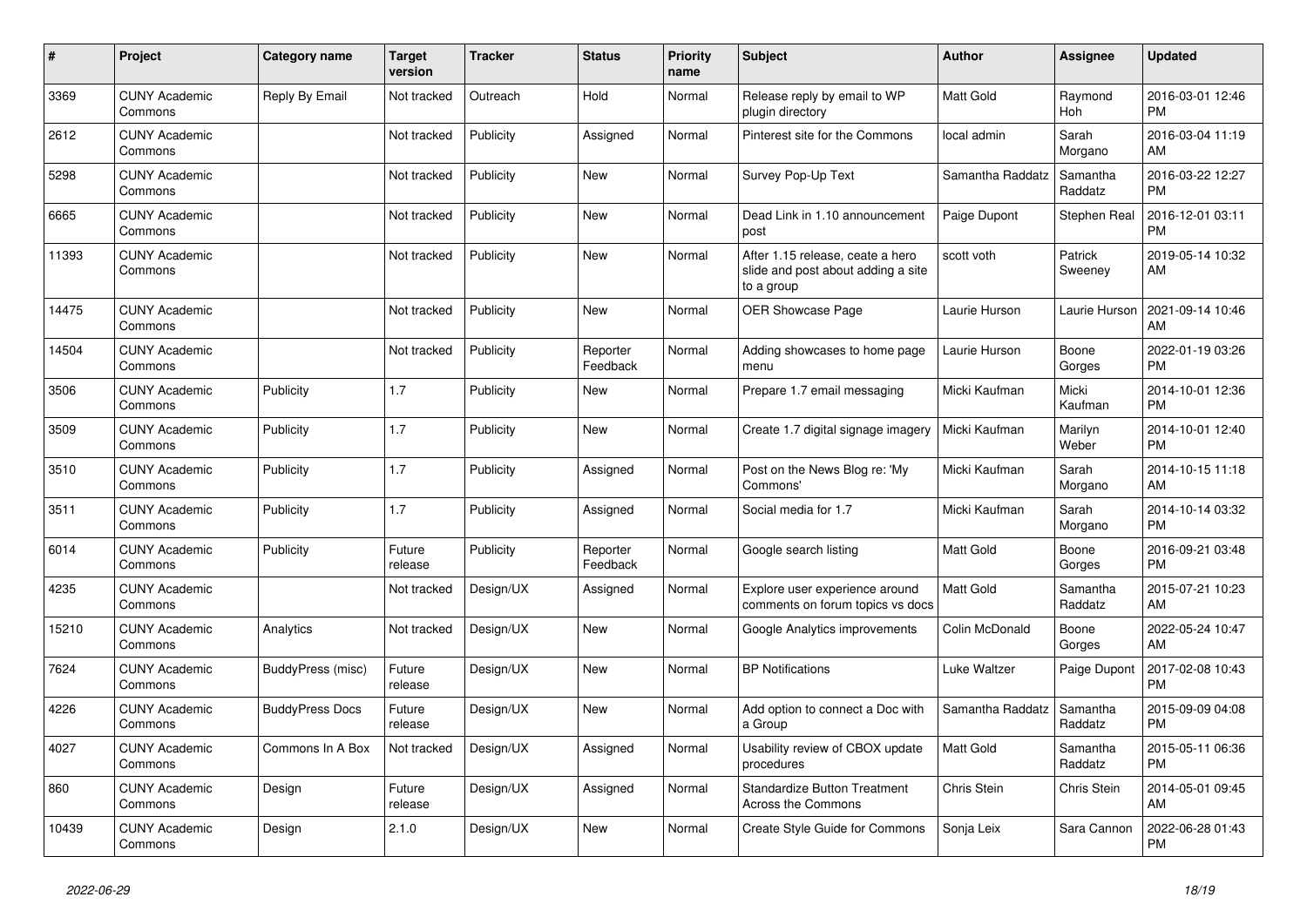| #     | Project                         | Category name          | <b>Target</b><br>version | <b>Tracker</b> | <b>Status</b>        | <b>Priority</b><br>name | <b>Subject</b>                                                                       | <b>Author</b>    | Assignee            | <b>Updated</b>                |
|-------|---------------------------------|------------------------|--------------------------|----------------|----------------------|-------------------------|--------------------------------------------------------------------------------------|------------------|---------------------|-------------------------------|
| 3369  | <b>CUNY Academic</b><br>Commons | Reply By Email         | Not tracked              | Outreach       | Hold                 | Normal                  | Release reply by email to WP<br>plugin directory                                     | Matt Gold        | Raymond<br>Hoh      | 2016-03-01 12:46<br><b>PM</b> |
| 2612  | <b>CUNY Academic</b><br>Commons |                        | Not tracked              | Publicity      | Assigned             | Normal                  | Pinterest site for the Commons                                                       | local admin      | Sarah<br>Morgano    | 2016-03-04 11:19<br>AM        |
| 5298  | <b>CUNY Academic</b><br>Commons |                        | Not tracked              | Publicity      | New                  | Normal                  | Survey Pop-Up Text                                                                   | Samantha Raddatz | Samantha<br>Raddatz | 2016-03-22 12:27<br><b>PM</b> |
| 6665  | <b>CUNY Academic</b><br>Commons |                        | Not tracked              | Publicity      | <b>New</b>           | Normal                  | Dead Link in 1.10 announcement<br>post                                               | Paige Dupont     | Stephen Real        | 2016-12-01 03:11<br><b>PM</b> |
| 11393 | <b>CUNY Academic</b><br>Commons |                        | Not tracked              | Publicity      | <b>New</b>           | Normal                  | After 1.15 release, ceate a hero<br>slide and post about adding a site<br>to a group | scott voth       | Patrick<br>Sweeney  | 2019-05-14 10:32<br>AM        |
| 14475 | <b>CUNY Academic</b><br>Commons |                        | Not tracked              | Publicity      | <b>New</b>           | Normal                  | <b>OER Showcase Page</b>                                                             | Laurie Hurson    | Laurie Hurson       | 2021-09-14 10:46<br>AM        |
| 14504 | <b>CUNY Academic</b><br>Commons |                        | Not tracked              | Publicity      | Reporter<br>Feedback | Normal                  | Adding showcases to home page<br>menu                                                | Laurie Hurson    | Boone<br>Gorges     | 2022-01-19 03:26<br><b>PM</b> |
| 3506  | <b>CUNY Academic</b><br>Commons | Publicity              | 1.7                      | Publicity      | New                  | Normal                  | Prepare 1.7 email messaging                                                          | Micki Kaufman    | Micki<br>Kaufman    | 2014-10-01 12:36<br><b>PM</b> |
| 3509  | <b>CUNY Academic</b><br>Commons | Publicity              | 1.7                      | Publicity      | New                  | Normal                  | Create 1.7 digital signage imagery                                                   | Micki Kaufman    | Marilyn<br>Weber    | 2014-10-01 12:40<br><b>PM</b> |
| 3510  | <b>CUNY Academic</b><br>Commons | Publicity              | 1.7                      | Publicity      | Assigned             | Normal                  | Post on the News Blog re: 'My<br>Commons'                                            | Micki Kaufman    | Sarah<br>Morgano    | 2014-10-15 11:18<br>AM        |
| 3511  | <b>CUNY Academic</b><br>Commons | Publicity              | 1.7                      | Publicity      | Assigned             | Normal                  | Social media for 1.7                                                                 | Micki Kaufman    | Sarah<br>Morgano    | 2014-10-14 03:32<br><b>PM</b> |
| 6014  | <b>CUNY Academic</b><br>Commons | Publicity              | Future<br>release        | Publicity      | Reporter<br>Feedback | Normal                  | Google search listing                                                                | <b>Matt Gold</b> | Boone<br>Gorges     | 2016-09-21 03:48<br><b>PM</b> |
| 4235  | <b>CUNY Academic</b><br>Commons |                        | Not tracked              | Design/UX      | Assigned             | Normal                  | Explore user experience around<br>comments on forum topics vs docs                   | Matt Gold        | Samantha<br>Raddatz | 2015-07-21 10:23<br>AM        |
| 15210 | <b>CUNY Academic</b><br>Commons | Analytics              | Not tracked              | Design/UX      | <b>New</b>           | Normal                  | Google Analytics improvements                                                        | Colin McDonald   | Boone<br>Gorges     | 2022-05-24 10:47<br>AM        |
| 7624  | <b>CUNY Academic</b><br>Commons | BuddyPress (misc)      | Future<br>release        | Design/UX      | <b>New</b>           | Normal                  | <b>BP Notifications</b>                                                              | Luke Waltzer     | Paige Dupont        | 2017-02-08 10:43<br><b>PM</b> |
| 4226  | <b>CUNY Academic</b><br>Commons | <b>BuddyPress Docs</b> | Future<br>release        | Design/UX      | <b>New</b>           | Normal                  | Add option to connect a Doc with<br>a Group                                          | Samantha Raddatz | Samantha<br>Raddatz | 2015-09-09 04:08<br><b>PM</b> |
| 4027  | <b>CUNY Academic</b><br>Commons | Commons In A Box       | Not tracked              | Design/UX      | Assigned             | Normal                  | Usability review of CBOX update<br>procedures                                        | <b>Matt Gold</b> | Samantha<br>Raddatz | 2015-05-11 06:36<br><b>PM</b> |
| 860   | <b>CUNY Academic</b><br>Commons | Design                 | Future<br>release        | Design/UX      | Assigned             | Normal                  | <b>Standardize Button Treatment</b><br><b>Across the Commons</b>                     | Chris Stein      | Chris Stein         | 2014-05-01 09:45<br>AM        |
| 10439 | <b>CUNY Academic</b><br>Commons | Design                 | 2.1.0                    | Design/UX      | <b>New</b>           | Normal                  | Create Style Guide for Commons                                                       | Sonja Leix       | Sara Cannon         | 2022-06-28 01:43<br><b>PM</b> |